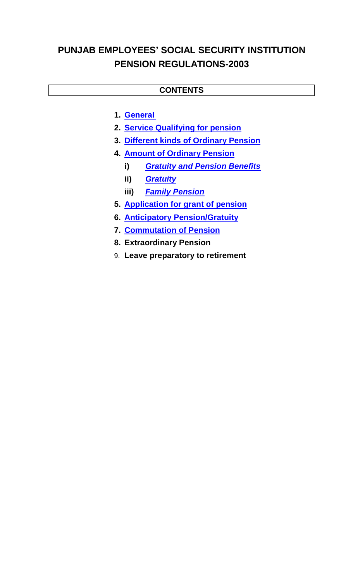# **PUNJAB EMPLOYEES' SOCIAL SECURITY INSTITUTION PENSION REGULATIONS-2003**

## **CONTENTS**

- **1. General**
- **2. Service Qualifying for pension**
- **3. Different kinds of Ordinary Pension**
- **4. Amount of Ordinary Pension** 
	- **i)** *Gratuity and Pension Benefits*
	- **ii)** *Gratuity*
	- **iii)** *Family Pension*
- **5. Application for grant of pension**
- **6. Anticipatory Pension/Gratuity**
- **7. Commutation of Pension**
- **8. Extraordinary Pension**
- 9. **Leave preparatory to retirement**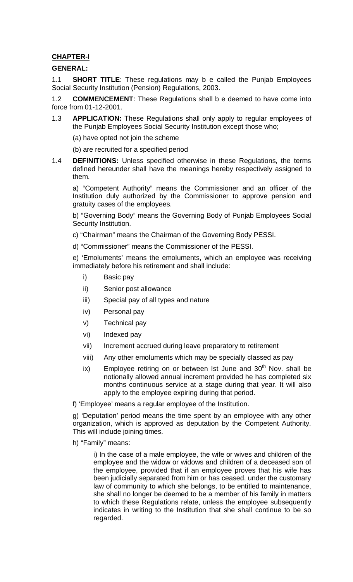### **CHAPTER-I**

### **GENERAL:**

1.1 **SHORT TITLE**: These regulations may b e called the Punjab Employees Social Security Institution (Pension) Regulations, 2003.

1.2 **COMMENCEMENT**: These Regulations shall b e deemed to have come into force from 01-12-2001.

1.3 **APPLICATION:** These Regulations shall only apply to regular employees of the Punjab Employees Social Security Institution except those who;

(a) have opted not join the scheme

(b) are recruited for a specified period

1.4 **DEFINITIONS:** Unless specified otherwise in these Regulations, the terms defined hereunder shall have the meanings hereby respectively assigned to them.

a) "Competent Authority" means the Commissioner and an officer of the Institution duly authorized by the Commissioner to approve pension and gratuity cases of the employees.

b) "Governing Body" means the Governing Body of Punjab Employees Social Security Institution.

c) "Chairman" means the Chairman of the Governing Body PESSI.

d) "Commissioner" means the Commissioner of the PESSI.

e) 'Emoluments' means the emoluments, which an employee was receiving immediately before his retirement and shall include:

- i) Basic pay
- ii) Senior post allowance
- iii) Special pay of all types and nature
- iv) Personal pay
- v) Technical pay
- vi) Indexed pay
- vii) Increment accrued during leave preparatory to retirement
- viii) Any other emoluments which may be specially classed as pay
- ix) Employee retiring on or between Ist June and  $30<sup>th</sup>$  Nov. shall be notionally allowed annual increment provided he has completed six months continuous service at a stage during that year. It will also apply to the employee expiring during that period.

f) 'Employee' means a regular employee of the Institution.

g) 'Deputation' period means the time spent by an employee with any other organization, which is approved as deputation by the Competent Authority. This will include joining times.

h) "Family" means:

i) In the case of a male employee, the wife or wives and children of the employee and the widow or widows and children of a deceased son of the employee, provided that if an employee proves that his wife has been judicially separated from him or has ceased, under the customary law of community to which she belongs, to be entitled to maintenance, she shall no longer be deemed to be a member of his family in matters to which these Regulations relate, unless the employee subsequently indicates in writing to the Institution that she shall continue to be so regarded.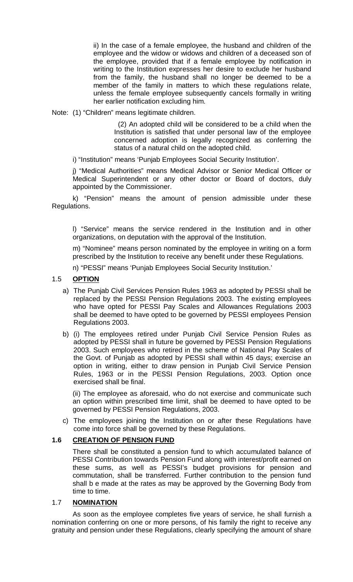ii) In the case of a female employee, the husband and children of the employee and the widow or widows and children of a deceased son of the employee, provided that if a female employee by notification in writing to the Institution expresses her desire to exclude her husband from the family, the husband shall no longer be deemed to be a member of the family in matters to which these regulations relate, unless the female employee subsequently cancels formally in writing her earlier notification excluding him.

Note: (1) "Children" means legitimate children.

 (2) An adopted child will be considered to be a child when the Institution is satisfied that under personal law of the employee concerned adoption is legally recognized as conferring the status of a natural child on the adopted child.

i) "Institution" means 'Punjab Employees Social Security Institution'.

j) "Medical Authorities" means Medical Advisor or Senior Medical Officer or Medical Superintendent or any other doctor or Board of doctors, duly appointed by the Commissioner.

k) "Pension" means the amount of pension admissible under these Regulations.

l) "Service" means the service rendered in the Institution and in other organizations, on deputation with the approval of the Institution.

m) "Nominee" means person nominated by the employee in writing on a form prescribed by the Institution to receive any benefit under these Regulations.

n) "PESSI" means 'Punjab Employees Social Security Institution.'

### 1.5 **OPTION**

- a) The Punjab Civil Services Pension Rules 1963 as adopted by PESSI shall be replaced by the PESSI Pension Regulations 2003. The existing employees who have opted for PESSI Pay Scales and Allowances Regulations 2003 shall be deemed to have opted to be governed by PESSI employees Pension Regulations 2003.
- b) (i) The employees retired under Punjab Civil Service Pension Rules as adopted by PESSI shall in future be governed by PESSI Pension Regulations 2003. Such employees who retired in the scheme of National Pay Scales of the Govt. of Punjab as adopted by PESSI shall within 45 days; exercise an option in writing, either to draw pension in Punjab Civil Service Pension Rules, 1963 or in the PESSI Pension Regulations, 2003. Option once exercised shall be final.

(ii) The employee as aforesaid, who do not exercise and communicate such an option within prescribed time limit, shall be deemed to have opted to be governed by PESSI Pension Regulations, 2003.

c) The employees joining the Institution on or after these Regulations have come into force shall be governed by these Regulations.

### **1.6 CREATION OF PENSION FUND**

There shall be constituted a pension fund to which accumulated balance of PESSI Contribution towards Pension Fund along with interest/profit earned on these sums, as well as PESSI's budget provisions for pension and commutation, shall be transferred. Further contribution to the pension fund shall b e made at the rates as may be approved by the Governing Body from time to time.

### 1.7 **NOMINATION**

As soon as the employee completes five years of service, he shall furnish a nomination conferring on one or more persons, of his family the right to receive any gratuity and pension under these Regulations, clearly specifying the amount of share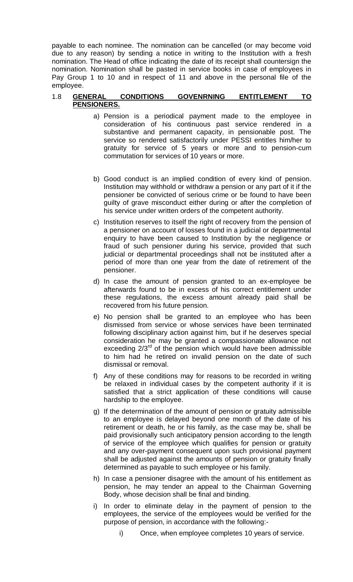payable to each nominee. The nomination can be cancelled (or may become void due to any reason) by sending a notice in writing to the Institution with a fresh nomination. The Head of office indicating the date of its receipt shall countersign the nomination. Nomination shall be pasted in service books in case of employees in Pay Group 1 to 10 and in respect of 11 and above in the personal file of the employee.

#### 1.8 **GENERAL CONDITIONS GOVENRNING ENTITLEMENT TO PENSIONERS.**

- a) Pension is a periodical payment made to the employee in consideration of his continuous past service rendered in a substantive and permanent capacity, in pensionable post. The service so rendered satisfactorily under PESSI entitles him/her to gratuity for service of 5 years or more and to pension-cum commutation for services of 10 years or more.
- b) Good conduct is an implied condition of every kind of pension. Institution may withhold or withdraw a pension or any part of it if the pensioner be convicted of serious crime or be found to have been guilty of grave misconduct either during or after the completion of his service under written orders of the competent authority.
- c) Institution reserves to itself the right of recovery from the pension of a pensioner on account of losses found in a judicial or departmental enquiry to have been caused to Institution by the negligence or fraud of such pensioner during his service, provided that such judicial or departmental proceedings shall not be instituted after a period of more than one year from the date of retirement of the pensioner.
- d) In case the amount of pension granted to an ex-employee be afterwards found to be in excess of his correct entitlement under these regulations, the excess amount already paid shall be recovered from his future pension.
- e) No pension shall be granted to an employee who has been dismissed from service or whose services have been terminated following disciplinary action against him, but if he deserves special consideration he may be granted a compassionate allowance not exceeding  $2/3^{rd}$  of the pension which would have been admissible to him had he retired on invalid pension on the date of such dismissal or removal.
- f) Any of these conditions may for reasons to be recorded in writing be relaxed in individual cases by the competent authority if it is satisfied that a strict application of these conditions will cause hardship to the employee.
- g) If the determination of the amount of pension or gratuity admissible to an employee is delayed beyond one month of the date of his retirement or death, he or his family, as the case may be, shall be paid provisionally such anticipatory pension according to the length of service of the employee which qualifies for pension or gratuity and any over-payment consequent upon such provisional payment shall be adjusted against the amounts of pension or gratuity finally determined as payable to such employee or his family.
- h) In case a pensioner disagree with the amount of his entitlement as pension, he may tender an appeal to the Chairman Governing Body, whose decision shall be final and binding.
- i) In order to eliminate delay in the payment of pension to the employees, the service of the employees would be verified for the purpose of pension, in accordance with the following:
	- i) Once, when employee completes 10 years of service.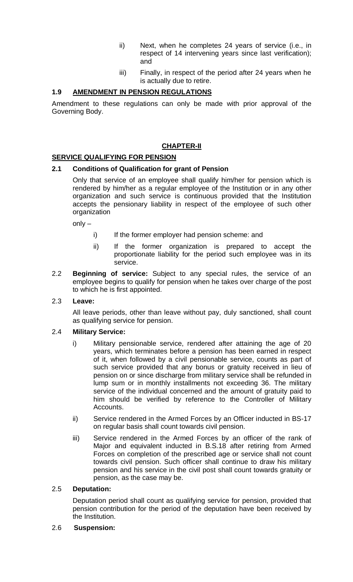- ii) Next, when he completes 24 years of service (i.e., in respect of 14 intervening years since last verification); and
- iii) Finally, in respect of the period after 24 years when he is actually due to retire.

### **1.9 AMENDMENT IN PENSION REGULATIONS**

Amendment to these regulations can only be made with prior approval of the Governing Body.

## **CHAPTER-II**

### **SERVICE QUALIFYING FOR PENSION**

### **2.1 Conditions of Qualification for grant of Pension**

Only that service of an employee shall qualify him/her for pension which is rendered by him/her as a regular employee of the Institution or in any other organization and such service is continuous provided that the Institution accepts the pensionary liability in respect of the employee of such other organization

 $only -$ 

- i) If the former employer had pension scheme: and
- ii) If the former organization is prepared to accept the proportionate liability for the period such employee was in its service.
- 2.2 **Beginning of service:** Subject to any special rules, the service of an employee begins to qualify for pension when he takes over charge of the post to which he is first appointed.

### 2.3 **Leave:**

All leave periods, other than leave without pay, duly sanctioned, shall count as qualifying service for pension.

#### 2.4 **Military Service:**

- i) Military pensionable service, rendered after attaining the age of 20 years, which terminates before a pension has been earned in respect of it, when followed by a civil pensionable service, counts as part of such service provided that any bonus or gratuity received in lieu of pension on or since discharge from military service shall be refunded in lump sum or in monthly installments not exceeding 36. The military service of the individual concerned and the amount of gratuity paid to him should be verified by reference to the Controller of Military Accounts.
- ii) Service rendered in the Armed Forces by an Officer inducted in BS-17 on regular basis shall count towards civil pension.
- iii) Service rendered in the Armed Forces by an officer of the rank of Major and equivalent inducted in B.S.18 after retiring from Armed Forces on completion of the prescribed age or service shall not count towards civil pension. Such officer shall continue to draw his military pension and his service in the civil post shall count towards gratuity or pension, as the case may be.

### 2.5 **Deputation:**

Deputation period shall count as qualifying service for pension, provided that pension contribution for the period of the deputation have been received by the Institution.

#### 2.6 **Suspension:**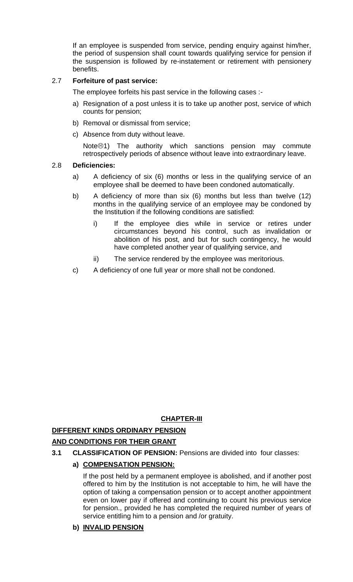If an employee is suspended from service, pending enquiry against him/her, the period of suspension shall count towards qualifying service for pension if the suspension is followed by re-instatement or retirement with pensionery benefits.

## 2.7 **Forfeiture of past service:**

The employee forfeits his past service in the following cases :-

- a) Resignation of a post unless it is to take up another post, service of which counts for pension;
- b) Removal or dismissal from service;
- c) Absence from duty without leave.

Note $\odot$ 1) The authority which sanctions pension may commute retrospectively periods of absence without leave into extraordinary leave.

### 2.8 **Deficiencies:**

- a) A deficiency of six (6) months or less in the qualifying service of an employee shall be deemed to have been condoned automatically.
- b) A deficiency of more than six (6) months but less than twelve (12) months in the qualifying service of an employee may be condoned by the Institution if the following conditions are satisfied:
	- i) If the employee dies while in service or retires under circumstances beyond his control, such as invalidation or abolition of his post, and but for such contingency, he would have completed another year of qualifying service, and
	- ii) The service rendered by the employee was meritorious.
- c) A deficiency of one full year or more shall not be condoned.

## **CHAPTER-III**

### **DIFFERENT KINDS ORDINARY PENSION**

### **AND CONDITIONS F0R THEIR GRANT**

**3.1 CLASSIFICATION OF PENSION:** Pensions are divided into four classes:

## **a) COMPENSATION PENSION:**

If the post held by a permanent employee is abolished, and if another post offered to him by the Institution is not acceptable to him, he will have the option of taking a compensation pension or to accept another appointment even on lower pay if offered and continuing to count his previous service for pension., provided he has completed the required number of years of service entitling him to a pension and /or gratuity.

### **b) INVALID PENSION**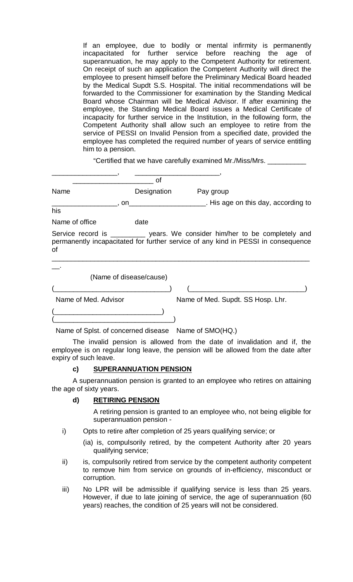If an employee, due to bodily or mental infirmity is permanently incapacitated for further service before reaching the age of superannuation, he may apply to the Competent Authority for retirement. On receipt of such an application the Competent Authority will direct the employee to present himself before the Preliminary Medical Board headed by the Medical Supdt S.S. Hospital. The initial recommendations will be forwarded to the Commissioner for examination by the Standing Medical Board whose Chairman will be Medical Advisor. If after examining the employee, the Standing Medical Board issues a Medical Certificate of incapacity for further service in the Institution, in the following form, the Competent Authority shall allow such an employee to retire from the service of PESSI on Invalid Pension from a specified date, provided the employee has completed the required number of years of service entitling him to a pension.

"Certified that we have carefully examined Mr./Miss/Mrs. \_\_\_\_\_\_\_\_\_\_

|                      | οf                      |                                                                                                                                                                    |
|----------------------|-------------------------|--------------------------------------------------------------------------------------------------------------------------------------------------------------------|
| Name                 | Designation             | Pay group                                                                                                                                                          |
|                      |                         | , on _______________________. His age on this day, according to                                                                                                    |
| his                  |                         |                                                                                                                                                                    |
| Name of office       | date                    |                                                                                                                                                                    |
| οf                   |                         | Service record is ___________ years. We consider him/her to be completely and<br>permanently incapacitated for further service of any kind in PESSI in consequence |
|                      | (Name of disease/cause) |                                                                                                                                                                    |
|                      |                         |                                                                                                                                                                    |
| Name of Med. Advisor |                         | Name of Med. Supdt. SS Hosp. Lhr.                                                                                                                                  |
|                      |                         |                                                                                                                                                                    |

Name of Splst. of concerned disease Name of SMO(HQ.)

The invalid pension is allowed from the date of invalidation and if, the employee is on regular long leave, the pension will be allowed from the date after expiry of such leave.

#### **c) SUPERANNUATION PENSION**

A superannuation pension is granted to an employee who retires on attaining the age of sixty years.

#### **d) RETIRING PENSION**

A retiring pension is granted to an employee who, not being eligible for superannuation pension -

i) Opts to retire after completion of 25 years qualifying service; or

(ia) is, compulsorily retired, by the competent Authority after 20 years qualifying service;

- ii) is, compulsorily retired from service by the competent authority competent to remove him from service on grounds of in-efficiency, misconduct or corruption.
- iii) No LPR will be admissible if qualifying service is less than 25 years. However, if due to late joining of service, the age of superannuation (60 years) reaches, the condition of 25 years will not be considered.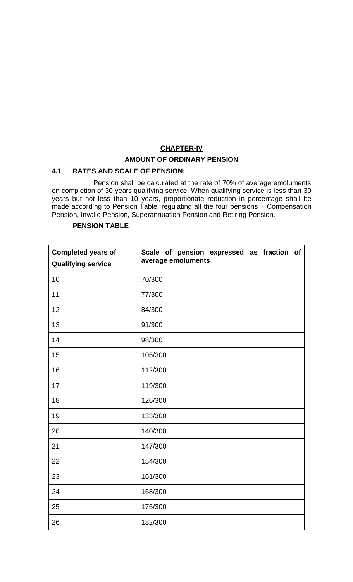# **CHAPTER-IV AMOUNT OF ORDINARY PENSION**

### **4.1 RATES AND SCALE OF PENSION:**

Pension shall be calculated at the rate of 70% of average emoluments on completion of 30 years qualifying service. When qualifying service is less than 30 years but not less than 10 years, proportionate reduction in percentage shall be made according to Pension Table, regulating all the four pensions – Compensation Pension, Invalid Pension, Superannuation Pension and Retiring Pension.

| <b>Completed years of</b><br><b>Qualifying service</b> | Scale of pension expressed as fraction of<br>average emoluments |
|--------------------------------------------------------|-----------------------------------------------------------------|
| 10                                                     | 70/300                                                          |
| 11                                                     | 77/300                                                          |
| 12                                                     | 84/300                                                          |
| 13                                                     | 91/300                                                          |
| 14                                                     | 98/300                                                          |
| 15                                                     | 105/300                                                         |
| 16                                                     | 112/300                                                         |
| 17                                                     | 119/300                                                         |
| 18                                                     | 126/300                                                         |
| 19                                                     | 133/300                                                         |
| 20                                                     | 140/300                                                         |
| 21                                                     | 147/300                                                         |
| 22                                                     | 154/300                                                         |
| 23                                                     | 161/300                                                         |
| 24                                                     | 168/300                                                         |
| 25                                                     | 175/300                                                         |
| 26                                                     | 182/300                                                         |

#### **PENSION TABLE**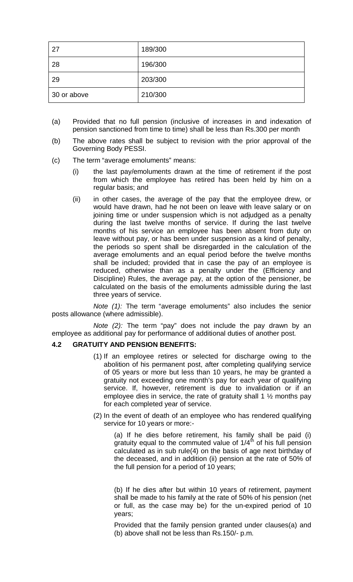| 27          | 189/300 |
|-------------|---------|
| 28          | 196/300 |
| 29          | 203/300 |
| 30 or above | 210/300 |

- (a) Provided that no full pension (inclusive of increases in and indexation of pension sanctioned from time to time) shall be less than Rs.300 per month
- (b) The above rates shall be subject to revision with the prior approval of the Governing Body PESSI.
- (c) The term "average emoluments" means:
	- (i) the last pay/emoluments drawn at the time of retirement if the post from which the employee has retired has been held by him on a regular basis; and
	- (ii) in other cases, the average of the pay that the employee drew, or would have drawn, had he not been on leave with leave salary or on joining time or under suspension which is not adjudged as a penalty during the last twelve months of service. If during the last twelve months of his service an employee has been absent from duty on leave without pay, or has been under suspension as a kind of penalty, the periods so spent shall be disregarded in the calculation of the average emoluments and an equal period before the twelve months shall be included; provided that in case the pay of an employee is reduced, otherwise than as a penalty under the (Efficiency and Discipline) Rules, the average pay, at the option of the pensioner, be calculated on the basis of the emoluments admissible during the last three years of service.

*Note (1):* The term "average emoluments" also includes the senior posts allowance (where admissible).

*Note (2):* The term "pay" does not include the pay drawn by an employee as additional pay for performance of additional duties of another post.

### **4.2 GRATUITY AND PENSION BENEFITS:**

- (1) If an employee retires or selected for discharge owing to the abolition of his permanent post, after completing qualifying service of 05 years or more but less than 10 years, he may be granted a gratuity not exceeding one month's pay for each year of qualifying service. If, however, retirement is due to invalidation or if an employee dies in service, the rate of gratuity shall 1  $\frac{1}{2}$  months pay for each completed year of service.
- (2) In the event of death of an employee who has rendered qualifying service for 10 years or more:-

(a) If he dies before retirement, his family shall be paid (i) gratuity equal to the commuted value of  $1/4^{th}$  of his full pension calculated as in sub rule(4) on the basis of age next birthday of the deceased, and in addition (ii) pension at the rate of 50% of the full pension for a period of 10 years;

(b) If he dies after but within 10 years of retirement, payment shall be made to his family at the rate of 50% of his pension (net or full, as the case may be) for the un-expired period of 10 years;

Provided that the family pension granted under clauses(a) and (b) above shall not be less than Rs.150/- p.m.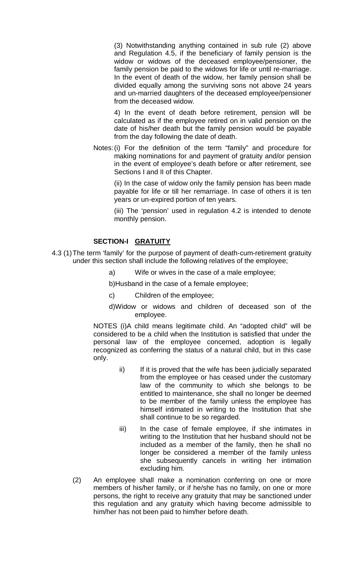(3) Notwithstanding anything contained in sub rule (2) above and Regulation 4.5, if the beneficiary of family pension is the widow or widows of the deceased employee/pensioner, the family pension be paid to the widows for life or until re-marriage. In the event of death of the widow, her family pension shall be divided equally among the surviving sons not above 24 years and un-married daughters of the deceased employee/pensioner from the deceased widow.

4) In the event of death before retirement, pension will be calculated as if the employee retired on in valid pension on the date of his/her death but the family pension would be payable from the day following the date of death.

Notes:(i) For the definition of the term "family" and procedure for making nominations for and payment of gratuity and/or pension in the event of employee's death before or after retirement, see Sections I and II of this Chapter.

(ii) In the case of widow only the family pension has been made payable for life or till her remarriage. In case of others it is ten years or un-expired portion of ten years.

(iii) The 'pension' used in regulation 4.2 is intended to denote monthly pension.

### **SECTION-I GRATUITY**

- 4.3 (1)The term 'family' for the purpose of payment of death-cum-retirement gratuity under this section shall include the following relatives of the employee;
	- a) Wife or wives in the case of a male employee;

b)Husband in the case of a female employee;

- c) Children of the employee;
- d)Widow or widows and children of deceased son of the employee.

NOTES (i)A child means legitimate child. An "adopted child" will be considered to be a child when the Institution is satisfied that under the personal law of the employee concerned, adoption is legally recognized as conferring the status of a natural child, but in this case only.

- ii) If it is proved that the wife has been judicially separated from the employee or has ceased under the customary law of the community to which she belongs to be entitled to maintenance, she shall no longer be deemed to be member of the family unless the employee has himself intimated in writing to the Institution that she shall continue to be so regarded.
- iii) In the case of female employee, if she intimates in writing to the Institution that her husband should not be included as a member of the family, then he shall no longer be considered a member of the family unless she subsequently cancels in writing her intimation excluding him.
- (2) An employee shall make a nomination conferring on one or more members of his/her family, or if he/she has no family, on one or more persons, the right to receive any gratuity that may be sanctioned under this regulation and any gratuity which having become admissible to him/her has not been paid to him/her before death.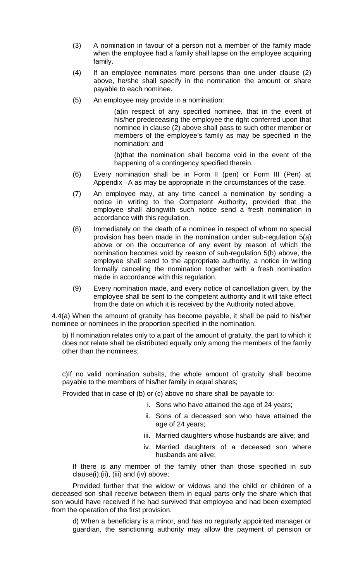- (3) A nomination in favour of a person not a member of the family made when the employee had a family shall lapse on the employee acquiring family.
- (4) If an employee nominates more persons than one under clause (2) above, he/she shall specify in the nomination the amount or share payable to each nominee.
- (5) An employee may provide in a nomination:

(a)in respect of any specified nominee, that in the event of his/her predeceasing the employee the right conferred upon that nominee in clause (2) above shall pass to such other member or members of the employee's family as may be specified in the nomination; and

(b)that the nomination shall become void in the event of the happening of a contingency specified therein.

- (6) Every nomination shall be in Form II (pen) or Form III (Pen) at Appendix –A as may be appropriate in the circumstances of the case.
- (7) An employee may, at any time cancel a nomination by sending a notice in writing to the Competent Authority, provided that the employee shall alongwith such notice send a fresh nomination in accordance with this regulation.
- (8) Immediately on the death of a nominee in respect of whom no special provision has been made in the nomination under sub-regulation 5(a) above or on the occurrence of any event by reason of which the nomination becomes void by reason of sub-regulation 5(b) above, the employee shall send to the appropriate authority, a notice in writing formally canceling the nomination together with a fresh nomination made in accordance with this regulation.
- (9) Every nomination made, and every notice of cancellation given, by the employee shall be sent to the competent authority and it will take effect from the date on which it is received by the Authority noted above.

4.4(a) When the amount of gratuity has become payable, it shall be paid to his/her nominee or nominees in the proportion specified in the nomination.

b) If nomination relates only to a part of the amount of gratuity, the part to which it does not relate shall be distributed equally only among the members of the family other than the nominees;

c)If no valid nomination subsits, the whole amount of gratuity shall become payable to the members of his/her family in equal shares;

Provided that in case of (b) or (c) above no share shall be payable to:

- i. Sons who have attained the age of 24 years;
- ii. Sons of a deceased son who have attained the age of 24 years;
- iii. Married daughters whose husbands are alive; and
- iv. Married daughters of a deceased son where husbands are alive;

If there is any member of the family other than those specified in sub clause(i),(ii), (iii) and (iv) above;

Provided further that the widow or widows and the child or children of a deceased son shall receive between them in equal parts only the share which that son would have received if he had survived that employee and had been exempted from the operation of the first provision.

d) When a beneficiary is a minor, and has no regularly appointed manager or guardian, the sanctioning authority may allow the payment of pension or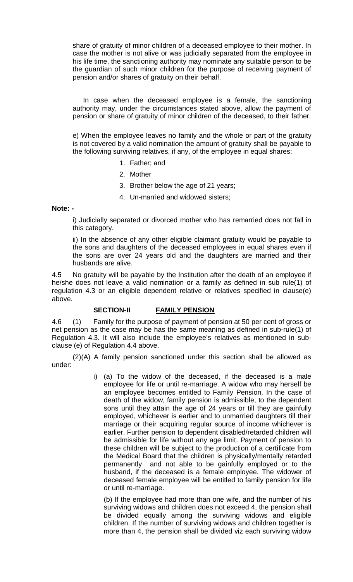share of gratuity of minor children of a deceased employee to their mother. In case the mother is not alive or was judicially separated from the employee in his life time, the sanctioning authority may nominate any suitable person to be the guardian of such minor children for the purpose of receiving payment of pension and/or shares of gratuity on their behalf.

In case when the deceased employee is a female, the sanctioning authority may, under the circumstances stated above, allow the payment of pension or share of gratuity of minor children of the deceased, to their father.

e) When the employee leaves no family and the whole or part of the gratuity is not covered by a valid nomination the amount of gratuity shall be payable to the following surviving relatives, if any, of the employee in equal shares:

- 1. Father; and
- 2. Mother
- 3. Brother below the age of 21 years;
- 4. Un-married and widowed sisters;

#### **Note: -**

i) Judicially separated or divorced mother who has remarried does not fall in this category.

ii) In the absence of any other eligible claimant gratuity would be payable to the sons and daughters of the deceased employees in equal shares even if the sons are over 24 years old and the daughters are married and their husbands are alive.

4.5 No gratuity will be payable by the Institution after the death of an employee if he/she does not leave a valid nomination or a family as defined in sub rule(1) of regulation 4.3 or an eligible dependent relative or relatives specified in clause(e) above.

### **SECTION-II FAMILY PENSION**

4.6 (1) Family for the purpose of payment of pension at 50 per cent of gross or net pension as the case may be has the same meaning as defined in sub-rule(1) of Regulation 4.3. It will also include the employee's relatives as mentioned in subclause (e) of Regulation 4.4 above.

(2)(A) A family pension sanctioned under this section shall be allowed as under:

> i) (a) To the widow of the deceased, if the deceased is a male employee for life or until re-marriage. A widow who may herself be an employee becomes entitled to Family Pension. In the case of death of the widow, family pension is admissible, to the dependent sons until they attain the age of 24 years or till they are gainfully employed, whichever is earlier and to unmarried daughters till their marriage or their acquiring regular source of income whichever is earlier. Further pension to dependent disabled/retarded children will be admissible for life without any age limit. Payment of pension to these children will be subject to the production of a certificate from the Medical Board that the children is physically/mentally retarded permanently and not able to be gainfully employed or to the husband, if the deceased is a female employee. The widower of deceased female employee will be entitled to family pension for life or until re-marriage.

(b) If the employee had more than one wife, and the number of his surviving widows and children does not exceed 4, the pension shall be divided equally among the surviving widows and eligible children. If the number of surviving widows and children together is more than 4, the pension shall be divided viz each surviving widow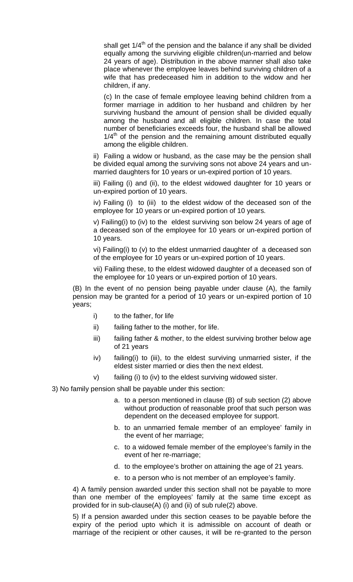shall get  $1/4<sup>th</sup>$  of the pension and the balance if any shall be divided equally among the surviving eligible children(un-married and below 24 years of age). Distribution in the above manner shall also take place whenever the employee leaves behind surviving children of a wife that has predeceased him in addition to the widow and her children, if any.

(c) In the case of female employee leaving behind children from a former marriage in addition to her husband and children by her surviving husband the amount of pension shall be divided equally among the husband and all eligible children. In case the total number of beneficiaries exceeds four, the husband shall be allowed  $1/4<sup>th</sup>$  of the pension and the remaining amount distributed equally among the eligible children.

ii) Failing a widow or husband, as the case may be the pension shall be divided equal among the surviving sons not above 24 years and unmarried daughters for 10 years or un-expired portion of 10 years.

iii) Failing (i) and (ii), to the eldest widowed daughter for 10 years or un-expired portion of 10 years.

iv) Failing (i) to (iii) to the eldest widow of the deceased son of the employee for 10 years or un-expired portion of 10 years.

v) Failing(i) to (iv) to the eldest surviving son below 24 years of age of a deceased son of the employee for 10 years or un-expired portion of 10 years.

vi) Failing(i) to (v) to the eldest unmarried daughter of a deceased son of the employee for 10 years or un-expired portion of 10 years.

vii) Failing these, to the eldest widowed daughter of a deceased son of the employee for 10 years or un-expired portion of 10 years.

(B) In the event of no pension being payable under clause (A), the family pension may be granted for a period of 10 years or un-expired portion of 10 years;

- i) to the father, for life
- ii) failing father to the mother, for life.
- iii) failing father & mother, to the eldest surviving brother below age of 21 years
- iv) failing(i) to (iii), to the eldest surviving unmarried sister, if the eldest sister married or dies then the next eldest.
- v) failing (i) to (iv) to the eldest surviving widowed sister.

3) No family pension shall be payable under this section:

- a. to a person mentioned in clause (B) of sub section (2) above without production of reasonable proof that such person was dependent on the deceased employee for support.
- b. to an unmarried female member of an employee' family in the event of her marriage;
- c. to a widowed female member of the employee's family in the event of her re-marriage;
- d. to the employee's brother on attaining the age of 21 years.
- e. to a person who is not member of an employee's family.

4) A family pension awarded under this section shall not be payable to more than one member of the employees' family at the same time except as provided for in sub-clause(A) (i) and (ii) of sub rule(2) above.

5) If a pension awarded under this section ceases to be payable before the expiry of the period upto which it is admissible on account of death or marriage of the recipient or other causes, it will be re-granted to the person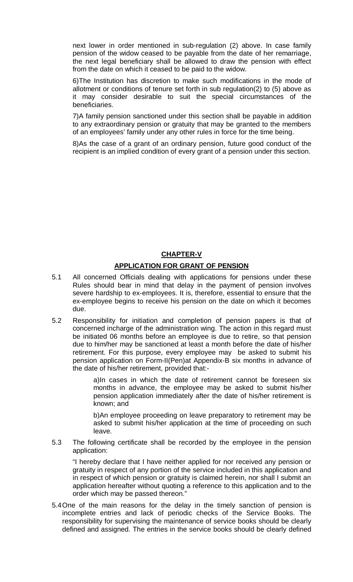next lower in order mentioned in sub-regulation (2) above. In case family pension of the widow ceased to be payable from the date of her remarriage, the next legal beneficiary shall be allowed to draw the pension with effect from the date on which it ceased to be paid to the widow.

6)The Institution has discretion to make such modifications in the mode of allotment or conditions of tenure set forth in sub regulation(2) to (5) above as it may consider desirable to suit the special circumstances of the beneficiaries.

7)A family pension sanctioned under this section shall be payable in addition to any extraordinary pension or gratuity that may be granted to the members of an employees' family under any other rules in force for the time being.

8)As the case of a grant of an ordinary pension, future good conduct of the recipient is an implied condition of every grant of a pension under this section.

### **CHAPTER-V**

### **APPLICATION FOR GRANT OF PENSION**

- 5.1 All concerned Officials dealing with applications for pensions under these Rules should bear in mind that delay in the payment of pension involves severe hardship to ex-employees. It is, therefore, essential to ensure that the ex-employee begins to receive his pension on the date on which it becomes due.
- 5.2 Responsibility for initiation and completion of pension papers is that of concerned incharge of the administration wing. The action in this regard must be initiated 06 months before an employee is due to retire, so that pension due to him/her may be sanctioned at least a month before the date of his/her retirement. For this purpose, every employee may be asked to submit his pension application on Form-II(Pen)at Appendix-B six months in advance of the date of his/her retirement, provided that:-

a)In cases in which the date of retirement cannot be foreseen six months in advance, the employee may be asked to submit his/her pension application immediately after the date of his/her retirement is known; and

b)An employee proceeding on leave preparatory to retirement may be asked to submit his/her application at the time of proceeding on such leave.

5.3 The following certificate shall be recorded by the employee in the pension application:

"I hereby declare that I have neither applied for nor received any pension or gratuity in respect of any portion of the service included in this application and in respect of which pension or gratuity is claimed herein, nor shall I submit an application hereafter without quoting a reference to this application and to the order which may be passed thereon."

5.4One of the main reasons for the delay in the timely sanction of pension is incomplete entries and lack of periodic checks of the Service Books. The responsibility for supervising the maintenance of service books should be clearly defined and assigned. The entries in the service books should be clearly defined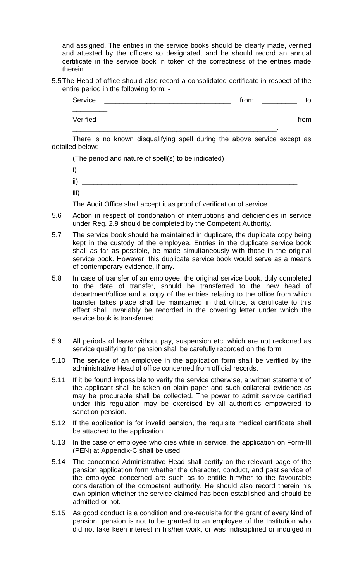and assigned. The entries in the service books should be clearly made, verified and attested by the officers so designated, and he should record an annual certificate in the service book in token of the correctness of the entries made therein.

5.5The Head of office should also record a consolidated certificate in respect of the entire period in the following form: -

| Service  | from | to   |
|----------|------|------|
| Verified |      | from |

There is no known disqualifying spell during the above service except as detailed below: -

(The period and nature of spell(s) to be indicated)

| $\blacksquare$<br>jθ<br>. . |  |
|-----------------------------|--|
| jj)                         |  |
| iii)                        |  |

The Audit Office shall accept it as proof of verification of service.

- 5.6 Action in respect of condonation of interruptions and deficiencies in service under Reg. 2.9 should be completed by the Competent Authority.
- 5.7 The service book should be maintained in duplicate, the duplicate copy being kept in the custody of the employee. Entries in the duplicate service book shall as far as possible, be made simultaneously with those in the original service book. However, this duplicate service book would serve as a means of contemporary evidence, if any.
- 5.8 In case of transfer of an employee, the original service book, duly completed to the date of transfer, should be transferred to the new head of department/office and a copy of the entries relating to the office from which transfer takes place shall be maintained in that office, a certificate to this effect shall invariably be recorded in the covering letter under which the service book is transferred.
- 5.9 All periods of leave without pay, suspension etc. which are not reckoned as service qualifying for pension shall be carefully recorded on the form.
- 5.10 The service of an employee in the application form shall be verified by the administrative Head of office concerned from official records.
- 5.11 If it be found impossible to verify the service otherwise, a written statement of the applicant shall be taken on plain paper and such collateral evidence as may be procurable shall be collected. The power to admit service certified under this regulation may be exercised by all authorities empowered to sanction pension.
- 5.12 If the application is for invalid pension, the requisite medical certificate shall be attached to the application.
- 5.13 In the case of employee who dies while in service, the application on Form-III (PEN) at Appendix-C shall be used.
- 5.14 The concerned Administrative Head shall certify on the relevant page of the pension application form whether the character, conduct, and past service of the employee concerned are such as to entitle him/her to the favourable consideration of the competent authority. He should also record therein his own opinion whether the service claimed has been established and should be admitted or not.
- 5.15 As good conduct is a condition and pre-requisite for the grant of every kind of pension, pension is not to be granted to an employee of the Institution who did not take keen interest in his/her work, or was indisciplined or indulged in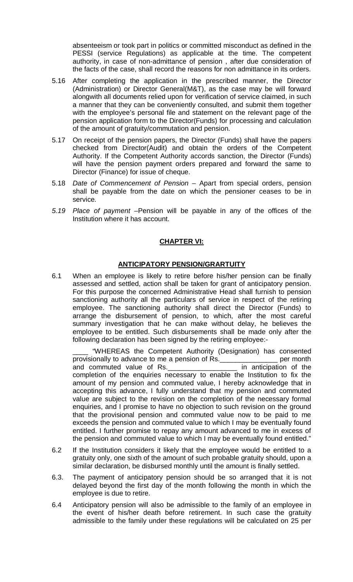absenteeism or took part in politics or committed misconduct as defined in the PESSI (service Regulations) as applicable at the time. The competent authority, in case of non-admittance of pension , after due consideration of the facts of the case, shall record the reasons for non admittance in its orders.

- 5.16 After completing the application in the prescribed manner, the Director (Administration) or Director General(M&T), as the case may be will forward alongwith all documents relied upon for verification of service claimed, in such a manner that they can be conveniently consulted, and submit them together with the employee's personal file and statement on the relevant page of the pension application form to the Director(Funds) for processing and calculation of the amount of gratuity/commutation and pension.
- 5.17 On receipt of the pension papers, the Director (Funds) shall have the papers checked from Director(Audit) and obtain the orders of the Competent Authority. If the Competent Authority accords sanction, the Director (Funds) will have the pension payment orders prepared and forward the same to Director (Finance) for issue of cheque.
- 5.18 *Date of Commencement of Pension –* Apart from special orders, pension shall be payable from the date on which the pensioner ceases to be in service*.*
- *5.19 Place of payment –*Pension will be payable in any of the offices of the Institution where it has account.

## **CHAPTER VI:**

### **ANTICIPATORY PENSION/GRARTUITY**

6.1 When an employee is likely to retire before his/her pension can be finally assessed and settled, action shall be taken for grant of anticipatory pension. For this purpose the concerned Administrative Head shall furnish to pension sanctioning authority all the particulars of service in respect of the retiring employee. The sanctioning authority shall direct the Director (Funds) to arrange the disbursement of pension, to which, after the most careful summary investigation that he can make without delay, he believes the employee to be entitled. Such disbursements shall be made only after the following declaration has been signed by the retiring employee:-

\_\_\_\_ "WHEREAS the Competent Authority (Designation) has consented provisionally to advance to me a pension of Rs.\_\_\_\_\_\_\_\_\_\_\_\_\_\_\_ per month and commuted value of Rs. The same in anticipation of the completion of the enquiries necessary to enable the Institution to fix the amount of my pension and commuted value, I hereby acknowledge that in accepting this advance, I fully understand that my pension and commuted value are subject to the revision on the completion of the necessary formal enquiries, and I promise to have no objection to such revision on the ground that the provisional pension and commuted value now to be paid to me exceeds the pension and commuted value to which I may be eventually found entitled. I further promise to repay any amount advanced to me in excess of the pension and commuted value to which I may be eventually found entitled."

- 6.2 If the Institution considers it likely that the employee would be entitled to a gratuity only, one sixth of the amount of such probable gratuity should, upon a similar declaration, be disbursed monthly until the amount is finally settled.
- 6.3. The payment of anticipatory pension should be so arranged that it is not delayed beyond the first day of the month following the month in which the employee is due to retire.
- 6.4 Anticipatory pension will also be admissible to the family of an employee in the event of his/her death before retirement. In such case the gratuity admissible to the family under these regulations will be calculated on 25 per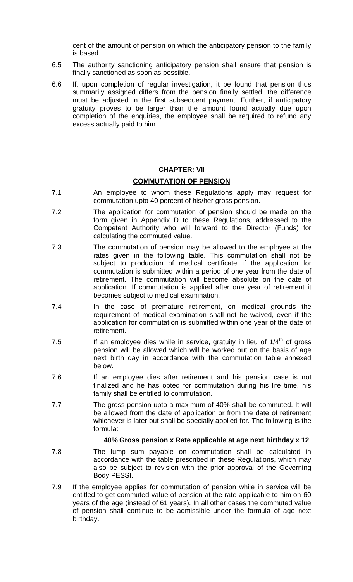cent of the amount of pension on which the anticipatory pension to the family is based.

- 6.5 The authority sanctioning anticipatory pension shall ensure that pension is finally sanctioned as soon as possible.
- 6.6 If, upon completion of regular investigation, it be found that pension thus summarily assigned differs from the pension finally settled, the difference must be adjusted in the first subsequent payment. Further, if anticipatory gratuity proves to be larger than the amount found actually due upon completion of the enquiries, the employee shall be required to refund any excess actually paid to him.

#### **CHAPTER: VII**

#### **COMMUTATION OF PENSION**

- 7.1 An employee to whom these Regulations apply may request for commutation upto 40 percent of his/her gross pension.
- 7.2 The application for commutation of pension should be made on the form given in Appendix D to these Regulations, addressed to the Competent Authority who will forward to the Director (Funds) for calculating the commuted value.
- 7.3 The commutation of pension may be allowed to the employee at the rates given in the following table. This commutation shall not be subject to production of medical certificate if the application for commutation is submitted within a period of one year from the date of retirement. The commutation will become absolute on the date of application. If commutation is applied after one year of retirement it becomes subject to medical examination.
- 7.4 In the case of premature retirement, on medical grounds the requirement of medical examination shall not be waived, even if the application for commutation is submitted within one year of the date of retirement.
- 7.5 If an employee dies while in service, gratuity in lieu of  $1/4<sup>th</sup>$  of gross pension will be allowed which will be worked out on the basis of age next birth day in accordance with the commutation table annexed below.
- 7.6 If an employee dies after retirement and his pension case is not finalized and he has opted for commutation during his life time, his family shall be entitled to commutation.
- 7.7 The gross pension upto a maximum of 40% shall be commuted. It will be allowed from the date of application or from the date of retirement whichever is later but shall be specially applied for. The following is the formula:

#### **40% Gross pension x Rate applicable at age next birthday x 12**

- 7.8 The lump sum payable on commutation shall be calculated in accordance with the table prescribed in these Regulations, which may also be subject to revision with the prior approval of the Governing Body PESSI.
- 7.9 If the employee applies for commutation of pension while in service will be entitled to get commuted value of pension at the rate applicable to him on 60 years of the age (instead of 61 years). In all other cases the commuted value of pension shall continue to be admissible under the formula of age next birthday.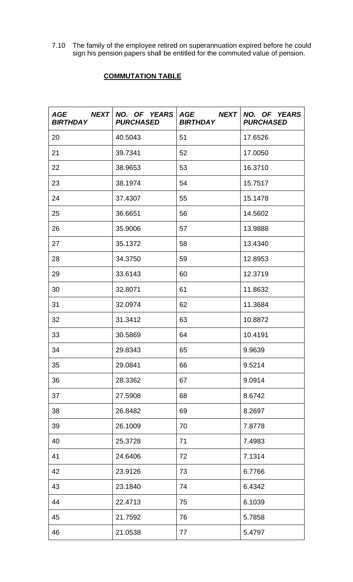7.10 The family of the employee retired on superannuation expired before he could sign his pension papers shall be entitled for the commuted value of pension.

# **COMMUTATION TABLE**

| AGE NEXT<br><b>BIRTHDAY</b> | <b>PURCHASED</b> | NO. OF YEARS AGE NEXT NO. OF YEARS<br><b>BIRTHDAY</b> | <b>PURCHASED</b> |
|-----------------------------|------------------|-------------------------------------------------------|------------------|
| 20                          | 40.5043          | 51                                                    | 17.6526          |
| 21                          | 39.7341          | 52                                                    | 17.0050          |
| 22                          | 38.9653          | 53                                                    | 16.3710          |
| 23                          | 38.1974          | 54                                                    | 15.7517          |
| 24                          | 37.4307          | 55                                                    | 15.1478          |
| 25                          | 36.6651          | 56                                                    | 14.5602          |
| 26                          | 35.9006          | 57                                                    | 13.9888          |
| 27                          | 35.1372          | 58                                                    | 13.4340          |
| 28                          | 34.3750          | 59                                                    | 12.8953          |
| 29                          | 33.6143          | 60                                                    | 12.3719          |
| 30                          | 32.8071          | 61                                                    | 11.8632          |
| 31                          | 32.0974          | 62                                                    | 11.3684          |
| 32                          | 31.3412          | 63                                                    | 10.8872          |
| 33                          | 30.5869          | 64                                                    | 10.4191          |
| 34                          | 29.8343          | 65                                                    | 9.9639           |
| 35                          | 29.0841          | 66                                                    | 9.5214           |
| 36                          | 28.3362          | 67                                                    | 9.0914           |
| 37                          | 27.5908          | 68                                                    | 8.6742           |
| 38                          | 26.8482          | 69                                                    | 8.2697           |
| 39                          | 26.1009          | 70                                                    | 7.8778           |
| 40                          | 25.3728          | 71                                                    | 7.4983           |
| 41                          | 24.6406          | 72                                                    | 7.1314           |
| 42                          | 23.9126          | 73                                                    | 6.7766           |
| 43                          | 23.1840          | 74                                                    | 6.4342           |
| 44                          | 22.4713          | 75                                                    | 6.1039           |
| 45                          | 21.7592          | 76                                                    | 5.7858           |
| 46                          | 21.0538          | 77                                                    | 5.4797           |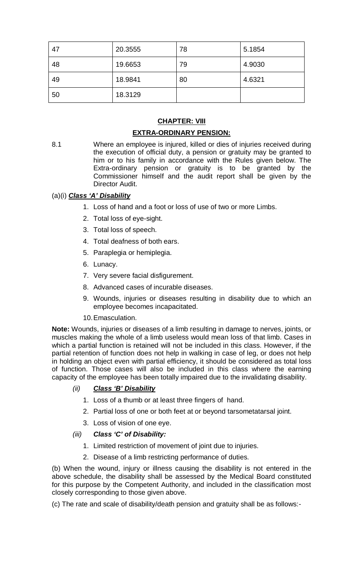| 47 | 20.3555 | 78 | 5.1854 |
|----|---------|----|--------|
| 48 | 19.6653 | 79 | 4.9030 |
| 49 | 18.9841 | 80 | 4.6321 |
| 50 | 18.3129 |    |        |

## **CHAPTER: VIII**

## **EXTRA-ORDINARY PENSION:**

8.1 Where an employee is injured, killed or dies of injuries received during the execution of official duty, a pension or gratuity may be granted to him or to his family in accordance with the Rules given below. The Extra-ordinary pension or gratuity is to be granted by the Commissioner himself and the audit report shall be given by the Director Audit.

## (a)(i) *Class 'A' Disability*

- 1. Loss of hand and a foot or loss of use of two or more Limbs.
- 2. Total loss of eye-sight.
- 3. Total loss of speech.
- 4. Total deafness of both ears.
- 5. Paraplegia or hemiplegia.
- 6. Lunacy.
- 7. Very severe facial disfigurement.
- 8. Advanced cases of incurable diseases.
- 9. Wounds, injuries or diseases resulting in disability due to which an employee becomes incapacitated.
- 10.Emasculation.

**Note:** Wounds, injuries or diseases of a limb resulting in damage to nerves, joints, or muscles making the whole of a limb useless would mean loss of that limb. Cases in which a partial function is retained will not be included in this class. However, if the partial retention of function does not help in walking in case of leg, or does not help in holding an object even with partial efficiency, it should be considered as total loss of function. Those cases will also be included in this class where the earning capacity of the employee has been totally impaired due to the invalidating disability.

- *(ii) Class 'B' Disability*
	- 1. Loss of a thumb or at least three fingers of hand.
	- 2. Partial loss of one or both feet at or beyond tarsometatarsal joint.
	- 3. Loss of vision of one eye.

### *(iii) Class 'C' of Disability:*

- 1. Limited restriction of movement of joint due to injuries.
- 2. Disease of a limb restricting performance of duties.

(b) When the wound, injury or illness causing the disability is not entered in the above schedule, the disability shall be assessed by the Medical Board constituted for this purpose by the Competent Authority, and included in the classification most closely corresponding to those given above.

(c) The rate and scale of disability/death pension and gratuity shall be as follows:-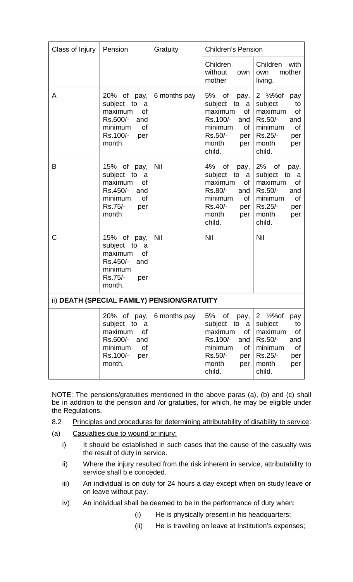| Class of Injury | Pension                                                                                                            | Gratuity     |                                                                                                                                                     | <b>Children's Pension</b>                                                                                                                          |  |  |
|-----------------|--------------------------------------------------------------------------------------------------------------------|--------------|-----------------------------------------------------------------------------------------------------------------------------------------------------|----------------------------------------------------------------------------------------------------------------------------------------------------|--|--|
|                 |                                                                                                                    |              | Children<br>without<br>own<br>mother                                                                                                                | Children<br>with<br>mother<br>own<br>living.                                                                                                       |  |  |
| A               | 20% of pay,<br>subject to<br>a<br>maximum<br>of<br>Rs.600/-<br>and<br>minimum<br>of<br>Rs.100/-<br>per<br>month.   | 6 months pay | 5%<br>of<br>pay,<br>subject to<br>a<br>of<br>maximum<br>Rs.100/-<br>and  <br>minimum<br>of <sub>1</sub><br>Rs.50/-<br>per<br>month<br>per<br>child. | 2 $\frac{1}{2}$ %of<br>pay<br>subject<br>to<br>maximum<br><b>of</b><br>Rs.50/-<br>and<br>minimum<br>Οf<br>Rs.25/-<br>per<br>month<br>per<br>child. |  |  |
| B               | 15% of pay,<br>subject to a<br>maximum<br>οf<br>Rs.450/-<br>and<br>minimum<br><b>of</b><br>Rs.75/-<br>per<br>month | Nil          | 4%<br>0f<br>pay,  <br>subject to a<br>maximum<br>οf<br>Rs.80/-<br>and<br>minimum<br>of I<br>Rs.40/-<br>per<br>month<br>per<br>child.                | $2\%$ of<br>pay,<br>subject<br>to<br>- a<br>maximum<br>of<br>Rs.50/-<br>and<br>minimum<br>of<br>Rs.25/-<br>per<br>month<br>per<br>child.           |  |  |
| $\mathsf{C}$    | 15% of pay,<br>subject to<br>a<br>maximum<br><b>of</b><br>Rs.450/-<br>and<br>minimum<br>Rs.75/-<br>per<br>month.   | Nil          | <b>Nil</b>                                                                                                                                          | Nil                                                                                                                                                |  |  |
|                 | ii) DEATH (SPECIAL FAMILY) PENSION/GRATUITY                                                                        |              |                                                                                                                                                     |                                                                                                                                                    |  |  |
|                 | 20% of pay,<br>subject to a<br>maximum<br>οf<br>Rs.600/-<br>and<br>minimum<br>of<br>Rs.100/-<br>per<br>month.      | 6 months pay | 5% of<br>pay,<br>subject to a<br>maximum<br>οf<br>Rs.100/-<br>and $\vert$<br>minimum<br>of <sub>l</sub><br>Rs.50/-<br>per<br>month<br>per<br>child. | 2 $\frac{1}{2}$ %of<br>pay<br>subject<br>to<br>maximum<br>οf<br>Rs.50/-<br>and<br>minimum<br>Οf<br>Rs.25/-<br>per<br>month<br>per<br>child.        |  |  |

NOTE: The pensions/gratuities mentioned in the above paras (a), (b) and (c) shall be in addition to the pension and /or gratuities, for which, he may be eligible under the Regulations.

- 8.2 Principles and procedures for determining attributability of disability to service:
- (a) Casualties due to wound or injury:
	- i) It should be established in such cases that the cause of the casualty was the result of duty in service.
	- ii) Where the injury resulted from the risk inherent in service, attributability to service shall b e conceded.
	- iii) An individual is on duty for 24 hours a day except when on study leave or on leave without pay.
	- iv) An individual shall be deemed to be in the performance of duty when:
		- (i) He is physically present in his headquarters;
		- (ii) He is traveling on leave at Institution's expenses;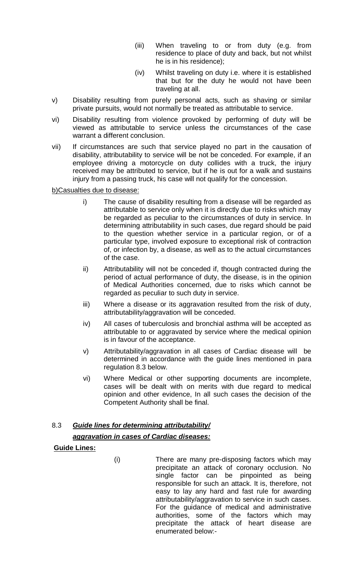- (iii) When traveling to or from duty (e.g. from residence to place of duty and back, but not whilst he is in his residence);
- (iv) Whilst traveling on duty i.e. where it is established that but for the duty he would not have been traveling at all.
- v) Disability resulting from purely personal acts, such as shaving or similar private pursuits, would not normally be treated as attributable to service.
- vi) Disability resulting from violence provoked by performing of duty will be viewed as attributable to service unless the circumstances of the case warrant a different conclusion.
- vii) If circumstances are such that service played no part in the causation of disability, attributability to service will be not be conceded. For example, if an employee driving a motorcycle on duty collides with a truck, the injury received may be attributed to service, but if he is out for a walk and sustains injury from a passing truck, his case will not qualify for the concession.

b)Casualties due to disease:

- i) The cause of disability resulting from a disease will be regarded as attributable to service only when it is directly due to risks which may be regarded as peculiar to the circumstances of duty in service. In determining attributability in such cases, due regard should be paid to the question whether service in a particular region, or of a particular type, involved exposure to exceptional risk of contraction of, or infection by, a disease, as well as to the actual circumstances of the case.
- ii) Attributability will not be conceded if, though contracted during the period of actual performance of duty, the disease, is in the opinion of Medical Authorities concerned, due to risks which cannot be regarded as peculiar to such duty in service.
- iii) Where a disease or its aggravation resulted from the risk of duty, attributability/aggravation will be conceded.
- iv) All cases of tuberculosis and bronchial asthma will be accepted as attributable to or aggravated by service where the medical opinion is in favour of the acceptance.
- v) Attributability/aggravation in all cases of Cardiac disease will be determined in accordance with the guide lines mentioned in para regulation 8.3 below.
- vi) Where Medical or other supporting documents are incomplete, cases will be dealt with on merits with due regard to medical opinion and other evidence, In all such cases the decision of the Competent Authority shall be final.

## 8.3 *Guide lines for determining attributability/ aggravation in cases of Cardiac diseases:*

**Guide Lines:**

(i) There are many pre-disposing factors which may precipitate an attack of coronary occlusion. No single factor can be pinpointed as being responsible for such an attack. It is, therefore, not easy to lay any hard and fast rule for awarding attributability/aggravation to service in such cases. For the guidance of medical and administrative authorities, some of the factors which may precipitate the attack of heart disease are enumerated below:-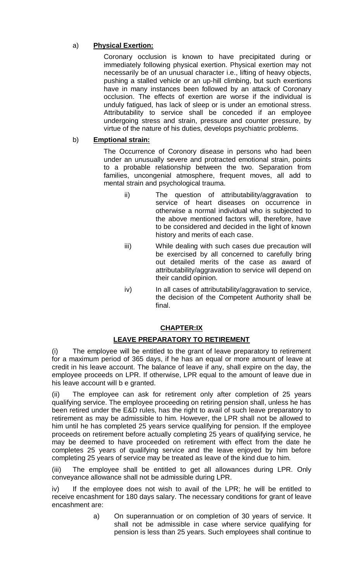## a) **Physical Exertion:**

Coronary occlusion is known to have precipitated during or immediately following physical exertion. Physical exertion may not necessarily be of an unusual character i.e., lifting of heavy objects, pushing a stalled vehicle or an up-hill climbing, but such exertions have in many instances been followed by an attack of Coronary occlusion. The effects of exertion are worse if the individual is unduly fatigued, has lack of sleep or is under an emotional stress. Attributability to service shall be conceded if an employee undergoing stress and strain, pressure and counter pressure, by virtue of the nature of his duties, develops psychiatric problems.

### b) **Emptional strain:**

The Occurrence of Coronory disease in persons who had been under an unusually severe and protracted emotional strain, points to a probable relationship between the two. Separation from families, uncongenial atmosphere, frequent moves, all add to mental strain and psychological trauma.

- ii) The question of attributability/aggravation to service of heart diseases on occurrence in otherwise a normal individual who is subjected to the above mentioned factors will, therefore, have to be considered and decided in the light of known history and merits of each case.
- iii) While dealing with such cases due precaution will be exercised by all concerned to carefully bring out detailed merits of the case as award of attributability/aggravation to service will depend on their candid opinion.
- iv) In all cases of attributability/aggravation to service, the decision of the Competent Authority shall be final.

## **CHAPTER:IX**

## **LEAVE PREPARATORY TO RETIREMENT**

(i) The employee will be entitled to the grant of leave preparatory to retirement for a maximum period of 365 days, if he has an equal or more amount of leave at credit in his leave account. The balance of leave if any, shall expire on the day, the employee proceeds on LPR. If otherwise, LPR equal to the amount of leave due in his leave account will b e granted.

(ii) The employee can ask for retirement only after completion of 25 years qualifying service. The employee proceeding on retiring pension shall, unless he has been retired under the E&D rules, has the right to avail of such leave preparatory to retirement as may be admissible to him. However, the LPR shall not be allowed to him until he has completed 25 years service qualifying for pension. If the employee proceeds on retirement before actually completing 25 years of qualifying service, he may be deemed to have proceeded on retirement with effect from the date he completes 25 years of qualifying service and the leave enjoyed by him before completing 25 years of service may be treated as leave of the kind due to him.

(iii) The employee shall be entitled to get all allowances during LPR. Only conveyance allowance shall not be admissible during LPR.

iv) If the employee does not wish to avail of the LPR; he will be entitled to receive encashment for 180 days salary. The necessary conditions for grant of leave encashment are:

> a) On superannuation or on completion of 30 years of service. It shall not be admissible in case where service qualifying for pension is less than 25 years. Such employees shall continue to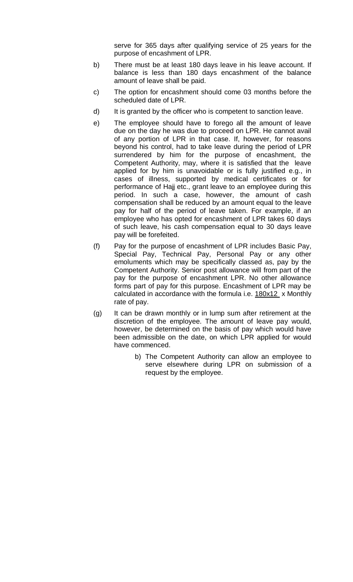serve for 365 days after qualifying service of 25 years for the purpose of encashment of LPR.

- b) There must be at least 180 days leave in his leave account. If balance is less than 180 days encashment of the balance amount of leave shall be paid.
- c) The option for encashment should come 03 months before the scheduled date of LPR.
- d) It is granted by the officer who is competent to sanction leave.
- e) The employee should have to forego all the amount of leave due on the day he was due to proceed on LPR. He cannot avail of any portion of LPR in that case. If, however, for reasons beyond his control, had to take leave during the period of LPR surrendered by him for the purpose of encashment, the Competent Authority, may, where it is satisfied that the leave applied for by him is unavoidable or is fully justified e.g., in cases of illness, supported by medical certificates or for performance of Hajj etc., grant leave to an employee during this period. In such a case, however, the amount of cash compensation shall be reduced by an amount equal to the leave pay for half of the period of leave taken. For example, if an employee who has opted for encashment of LPR takes 60 days of such leave, his cash compensation equal to 30 days leave pay will be forefeited.
- (f) Pay for the purpose of encashment of LPR includes Basic Pay, Special Pay, Technical Pay, Personal Pay or any other emoluments which may be specifically classed as, pay by the Competent Authority. Senior post allowance will from part of the pay for the purpose of encashment LPR. No other allowance forms part of pay for this purpose. Encashment of LPR may be calculated in accordance with the formula i.e.  $180x12 \times$  Monthly rate of pay.
- (g) It can be drawn monthly or in lump sum after retirement at the discretion of the employee. The amount of leave pay would, however, be determined on the basis of pay which would have been admissible on the date, on which LPR applied for would have commenced.
	- b) The Competent Authority can allow an employee to serve elsewhere during LPR on submission of a request by the employee.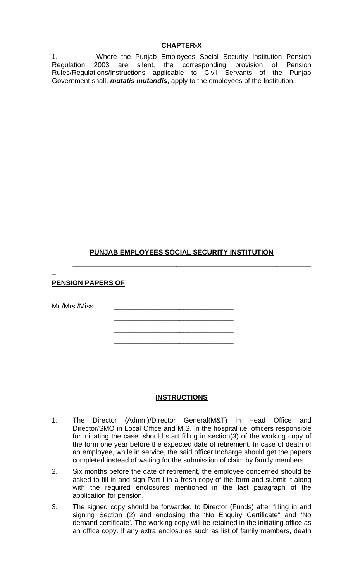1. Where the Punjab Employees Social Security Institution Pension Regulation 2003 are silent, the corresponding provision of Pension Rules/Regulations/Instructions applicable to Civil Servants of the Punjab Government shall, *mutatis mutandis*, apply to the employees of the Institution.

# **PUNJAB EMPLOYEES SOCIAL SECURITY INSTITUTION**

\_\_\_\_\_\_\_\_\_\_\_\_\_\_\_\_\_\_\_\_\_\_\_\_\_\_\_\_\_\_\_ \_\_\_\_\_\_\_\_\_\_\_\_\_\_\_\_\_\_\_\_\_\_\_\_\_\_\_\_\_\_\_ \_\_\_\_\_\_\_\_\_\_\_\_\_\_\_\_\_\_\_\_\_\_\_\_\_\_\_\_\_\_\_

**\_\_\_\_\_\_\_\_\_\_\_\_\_\_\_\_\_\_\_\_\_\_\_\_\_\_\_\_\_\_\_\_\_\_\_\_\_\_\_\_\_\_\_\_\_\_\_\_\_\_\_\_\_\_\_\_\_\_\_\_\_\_**

## **PENSION PAPERS OF**

Mr./Mrs./Miss

**\_**

### **INSTRUCTIONS**

- 1. The Director (Admn.)/Director General(M&T) in Head Office and Director/SMO in Local Office and M.S. in the hospital i.e. officers responsible for initiating the case, should start filling in section(3) of the working copy of the form one year before the expected date of retirement. In case of death of an employee, while in service, the said officer Incharge should get the papers completed instead of waiting for the submission of claim by family members.
- 2. Six months before the date of retirement, the employee concerned should be asked to fill in and sign Part-I in a fresh copy of the form and submit it along with the required enclosures mentioned in the last paragraph of the application for pension.
- 3. The signed copy should be forwarded to Director (Funds) after filling in and signing Section (2) and enclosing the 'No Enquiry Certificate" and 'No demand certificate'. The working copy will be retained in the initiating office as an office copy. If any extra enclosures such as list of family members, death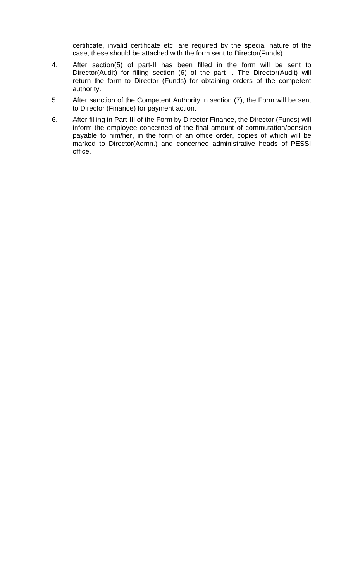certificate, invalid certificate etc. are required by the special nature of the case, these should be attached with the form sent to Director(Funds).

- 4. After section(5) of part-II has been filled in the form will be sent to Director(Audit) for filling section (6) of the part-II. The Director(Audit) will return the form to Director (Funds) for obtaining orders of the competent authority.
- 5. After sanction of the Competent Authority in section (7), the Form will be sent to Director (Finance) for payment action.
- 6. After filling in Part-III of the Form by Director Finance, the Director (Funds) will inform the employee concerned of the final amount of commutation/pension payable to him/her, in the form of an office order, copies of which will be marked to Director(Admn.) and concerned administrative heads of PESSI office.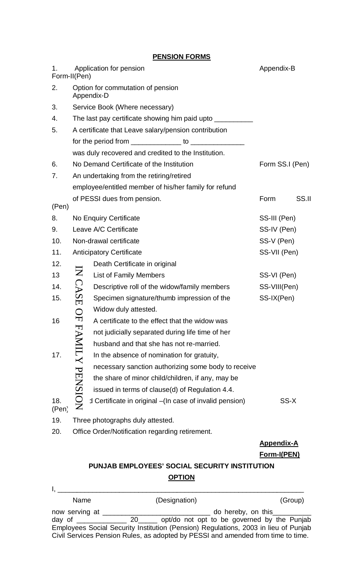**PENSION FORMS**

| 1.           | Form-II(Pen)          | Application for pension                                                             | Appendix-B                       |       |
|--------------|-----------------------|-------------------------------------------------------------------------------------|----------------------------------|-------|
| 2.           |                       | Option for commutation of pension<br>Appendix-D                                     |                                  |       |
| 3.           |                       | Service Book (Where necessary)                                                      |                                  |       |
| 4.           |                       | The last pay certificate showing him paid upto ____________                         |                                  |       |
| 5.           |                       | A certificate that Leave salary/pension contribution                                |                                  |       |
|              |                       | for the period from $\frac{1}{2}$ to $\frac{1}{2}$ to $\frac{1}{2}$                 |                                  |       |
|              |                       | was duly recovered and credited to the Institution.                                 |                                  |       |
| 6.           |                       | No Demand Certificate of the Institution                                            | Form SS.I (Pen)                  |       |
| 7.           |                       | An undertaking from the retiring/retired                                            |                                  |       |
|              |                       | employee/entitled member of his/her family for refund                               |                                  |       |
|              |                       | of PESSI dues from pension.                                                         | Form                             | SS.II |
| (Pen)        |                       |                                                                                     |                                  |       |
| 8.           |                       | No Enquiry Certificate                                                              | SS-III (Pen)                     |       |
| 9.           |                       | Leave A/C Certificate                                                               | SS-IV (Pen)                      |       |
| 10.          |                       | Non-drawal certificate                                                              | SS-V (Pen)                       |       |
| 11.          |                       | <b>Anticipatory Certificate</b>                                                     | SS-VII (Pen)                     |       |
| 12.          |                       | Death Certificate in original                                                       |                                  |       |
| 13           |                       | <b>List of Family Members</b>                                                       | SS-VI (Pen)                      |       |
| 14.          | IN CASE               | Descriptive roll of the widow/family members                                        | SS-VIII(Pen)                     |       |
| 15.          |                       | Specimen signature/thumb impression of the                                          | SS-IX(Pen)                       |       |
|              |                       | Widow duly attested.                                                                |                                  |       |
| 16           | Q <sub>F</sub>        | A certificate to the effect that the widow was                                      |                                  |       |
|              |                       | not judicially separated during life time of her                                    |                                  |       |
|              |                       | husband and that she has not re-married.                                            |                                  |       |
| 17.          |                       | In the absence of nomination for gratuity,                                          |                                  |       |
|              |                       | necessary sanction authorizing some body to receive                                 |                                  |       |
|              |                       | the share of minor child/children, if any, may be                                   |                                  |       |
|              |                       | issued in terms of clause(d) of Regulation 4.4.                                     |                                  |       |
| 18.<br>(Pen) | <b>FAMILY PENSION</b> | d Certificate in original - (In case of invalid pension)                            | SS-X                             |       |
| 19.          |                       | Three photographs duly attested.                                                    |                                  |       |
| 20.          |                       | Office Order/Notification regarding retirement.                                     |                                  |       |
|              |                       |                                                                                     | <b>Appendix-A</b><br>Form-I(PEN) |       |
|              |                       | PUNJAB EMPLOYEES' SOCIAL SECURITY INSTITUTION                                       |                                  |       |
|              |                       | <b>OPTION</b>                                                                       |                                  |       |
|              |                       |                                                                                     |                                  |       |
|              | Name                  | (Designation)                                                                       | (Group)                          |       |
|              |                       |                                                                                     |                                  |       |
|              |                       | Employees Social Security Institution (Pension) Regulations, 2003 in lieu of Punjab |                                  |       |
|              |                       | Civil Services Pension Rules, as adopted by PESSI and amended from time to time.    |                                  |       |

# **PUNJAB EMPLOYEES' SOCIAL SECURITY INSTITUTION OPTION**

| Name           | (Designation)                                                                       | (Group)                         |
|----------------|-------------------------------------------------------------------------------------|---------------------------------|
| now serving at |                                                                                     | do hereby, on this ____________ |
|                |                                                                                     |                                 |
|                | Employees Social Security Institution (Pension) Regulations, 2003 in lieu of Punjab |                                 |
|                | Civil Services Pension Rules, as adopted by PESSI and amended from time to time.    |                                 |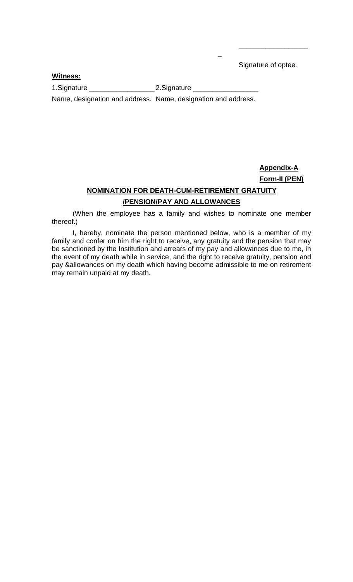Signature of optee.

\_\_\_\_\_\_\_\_\_\_\_\_\_\_\_\_\_\_

### **Witness:**

1.Signature \_\_\_\_\_\_\_\_\_\_\_\_\_\_\_\_\_ 2.Signature \_\_\_\_\_\_\_\_\_\_\_\_\_\_\_\_\_

Name, designation and address. Name, designation and address.

# **Appendix-A Form-II (PEN) NOMINATION FOR DEATH-CUM-RETIREMENT GRATUITY /PENSION/PAY AND ALLOWANCES**

 $\overline{a}$ 

(When the employee has a family and wishes to nominate one member thereof.)

I, hereby, nominate the person mentioned below, who is a member of my family and confer on him the right to receive, any gratuity and the pension that may be sanctioned by the Institution and arrears of my pay and allowances due to me, in the event of my death while in service, and the right to receive gratuity, pension and pay &allowances on my death which having become admissible to me on retirement may remain unpaid at my death.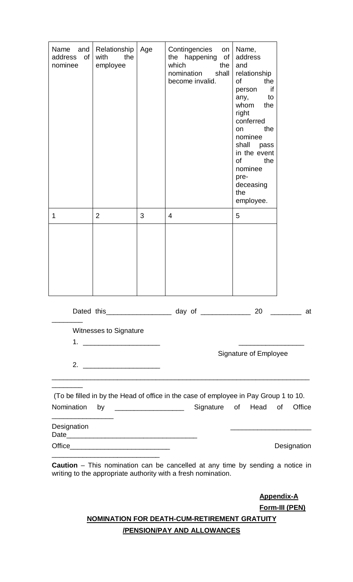| Name<br>and<br>address<br>of<br>nominee | Relationship<br>the<br>with<br>employee                                                                                                                                                                                              | Age | Contingencies<br>on<br>the happening<br>of<br>which<br>the<br>nomination<br>shall<br>become invalid. | Name,<br>address<br>and<br>relationship<br>of<br>the<br>if<br>person<br>to<br>any,<br>whom<br>the<br>right<br>conferred<br>the<br>on<br>nominee<br>shall pass<br>in the event<br><b>of</b><br>the<br>nominee<br>pre-<br>deceasing<br>the<br>employee. |             |
|-----------------------------------------|--------------------------------------------------------------------------------------------------------------------------------------------------------------------------------------------------------------------------------------|-----|------------------------------------------------------------------------------------------------------|-------------------------------------------------------------------------------------------------------------------------------------------------------------------------------------------------------------------------------------------------------|-------------|
| 1                                       | $\overline{2}$                                                                                                                                                                                                                       | 3   | $\overline{4}$                                                                                       | 5                                                                                                                                                                                                                                                     |             |
|                                         |                                                                                                                                                                                                                                      |     |                                                                                                      |                                                                                                                                                                                                                                                       |             |
|                                         |                                                                                                                                                                                                                                      |     | Dated this _____________________ day of _________________ 20 ___________ at                          |                                                                                                                                                                                                                                                       |             |
|                                         | <b>Witnesses to Signature</b>                                                                                                                                                                                                        |     |                                                                                                      | Signature of Employee                                                                                                                                                                                                                                 |             |
|                                         | 2. $\qquad \qquad$                                                                                                                                                                                                                   |     |                                                                                                      |                                                                                                                                                                                                                                                       |             |
|                                         |                                                                                                                                                                                                                                      |     |                                                                                                      |                                                                                                                                                                                                                                                       |             |
| Nomination                              | by                                                                                                                                                                                                                                   |     | (To be filled in by the Head of office in the case of employee in Pay Group 1 to 10.                 | Signature of Head of                                                                                                                                                                                                                                  | Office      |
| Designation                             |                                                                                                                                                                                                                                      |     |                                                                                                      |                                                                                                                                                                                                                                                       |             |
|                                         |                                                                                                                                                                                                                                      |     |                                                                                                      |                                                                                                                                                                                                                                                       | Designation |
|                                         | <u> 1980 - Johann John Harry Harry Harry Harry Harry Harry Harry Harry Harry Harry Harry Harry Harry Harry Harry Harry Harry Harry Harry Harry Harry Harry Harry Harry Harry Harry Harry Harry Harry Harry Harry Harry Harry Har</u> |     |                                                                                                      |                                                                                                                                                                                                                                                       |             |

**Caution** – This nomination can be cancelled at any time by sending a notice in writing to the appropriate authority with a fresh nomination.

> **Appendix-A Form-III (PEN)**

**NOMINATION FOR DEATH-CUM-RETIREMENT GRATUITY /PENSION/PAY AND ALLOWANCES**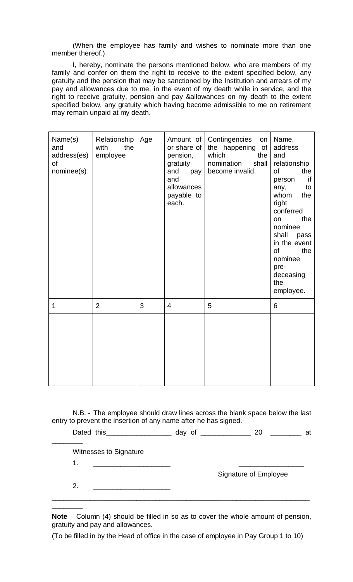(When the employee has family and wishes to nominate more than one member thereof.)

I, hereby, nominate the persons mentioned below, who are members of my family and confer on them the right to receive to the extent specified below, any gratuity and the pension that may be sanctioned by the Institution and arrears of my pay and allowances due to me, in the event of my death while in service, and the right to receive gratuity, pension and pay &allowances on my death to the extent specified below, any gratuity which having become admissible to me on retirement may remain unpaid at my death.

| Name(s)<br>and<br>address(es)<br>of<br>nominee(s) | Relationship<br>with<br>the<br>employee | Age | Amount of<br>or share of<br>pension,<br>gratuity<br>and<br>pay<br>and<br>allowances<br>payable to<br>each. | Contingencies<br>on<br>the happening of<br>which<br>the<br>nomination<br>shall<br>become invalid. | Name,<br>address<br>and<br>relationship<br>of<br>the<br>if<br>person<br>to<br>any,<br>whom<br>the<br>right<br>conferred<br>the<br>on<br>nominee<br>shall<br>pass<br>in the event<br><b>of</b><br>the<br>nominee<br>pre-<br>deceasing<br>the<br>employee. |
|---------------------------------------------------|-----------------------------------------|-----|------------------------------------------------------------------------------------------------------------|---------------------------------------------------------------------------------------------------|----------------------------------------------------------------------------------------------------------------------------------------------------------------------------------------------------------------------------------------------------------|
| 1                                                 | $\overline{2}$                          | 3   | $\overline{4}$                                                                                             | 5                                                                                                 | 6                                                                                                                                                                                                                                                        |
|                                                   |                                         |     |                                                                                                            |                                                                                                   |                                                                                                                                                                                                                                                          |

N.B. - The employee should draw lines across the blank space below the last entry to prevent the insertion of any name after he has signed.

Dated this \_\_\_\_\_\_\_\_\_\_\_\_\_\_\_\_\_\_\_\_\_ day of \_\_\_\_\_\_\_\_\_\_\_\_\_\_\_\_\_\_ 20 \_\_\_\_\_\_\_\_\_\_\_ at \_\_\_\_\_\_\_\_ Witnesses to Signature 1. \_\_\_\_\_\_\_\_\_\_\_\_\_\_\_\_\_\_\_\_ \_\_\_\_\_\_\_\_\_\_\_\_\_\_\_\_\_ Signature of Employee 2. \_\_\_\_\_\_\_\_\_\_\_\_\_\_\_\_\_\_\_\_ \_\_\_\_\_\_\_\_\_\_\_\_\_\_\_\_\_\_\_\_\_\_\_\_\_\_\_\_\_\_\_\_\_\_\_\_\_\_\_\_\_\_\_\_\_\_\_\_\_\_\_\_\_\_\_\_\_\_\_\_\_\_\_\_\_\_\_

**Note** – Column (4) should be filled in so as to cover the whole amount of pension, gratuity and pay and allowances.

(To be filled in by the Head of office in the case of employee in Pay Group 1 to 10)

\_\_\_\_\_\_\_\_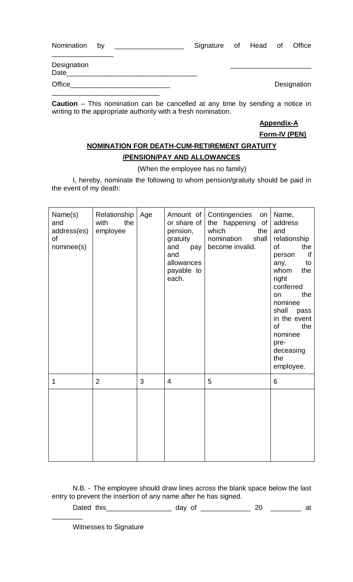| Nomination by | <u> 1980 - Andrea Andrew Maria (h. 1980).</u>                                                                                                                                                                                        | Signature of Head of Office |  |             |
|---------------|--------------------------------------------------------------------------------------------------------------------------------------------------------------------------------------------------------------------------------------|-----------------------------|--|-------------|
| Designation   | Date and the contract of the contract of the contract of the contract of the contract of the contract of the contract of the contract of the contract of the contract of the contract of the contract of the contract of the c       |                             |  |             |
|               | Office <b>Contract Contract Contract Contract Contract Contract Contract Contract Contract Contract Contract Contract Contract Contract Contract Contract Contract Contract Contract Contract Contract Contract Contract Contrac</b> |                             |  | Designation |

**Caution** – This nomination can be cancelled at any time by sending a notice in writing to the appropriate authority with a fresh nomination.

> **Appendix-A Form-IV (PEN)**

# **NOMINATION FOR DEATH-CUM-RETIREMENT GRATUITY /PENSION/PAY AND ALLOWANCES**

### (When the employee has no family)

I, hereby, nominate the following to whom pension/gratuity should be paid in the event of my death:

| Name(s)<br>and<br>address(es)<br>of<br>nominee(s) | Relationship<br>with<br>the<br>employee | Age | Amount of<br>or share of<br>pension,<br>gratuity<br>and<br>pay<br>and<br>allowances<br>payable to<br>each. | Contingencies<br>on<br>the happening of<br>which<br>the<br>nomination<br>shall<br>become invalid. | Name,<br>address<br>and<br>relationship<br><b>of</b><br>the<br>if<br>person<br>to<br>any,<br>whom<br>the<br>right<br>conferred<br>the<br>on<br>nominee<br>shall<br>pass<br>in the event<br>of<br>the<br>nominee<br>pre-<br>deceasing<br>the<br>employee. |
|---------------------------------------------------|-----------------------------------------|-----|------------------------------------------------------------------------------------------------------------|---------------------------------------------------------------------------------------------------|----------------------------------------------------------------------------------------------------------------------------------------------------------------------------------------------------------------------------------------------------------|
| 1                                                 | $\overline{2}$                          | 3   | $\overline{4}$                                                                                             | 5                                                                                                 | 6                                                                                                                                                                                                                                                        |
|                                                   |                                         |     |                                                                                                            |                                                                                                   |                                                                                                                                                                                                                                                          |

N.B. - The employee should draw lines across the blank space below the last entry to prevent the insertion of any name after he has signed.

Dated this\_\_\_\_\_\_\_\_\_\_\_\_\_\_\_\_\_\_\_\_\_ day of \_\_\_\_\_\_\_\_\_\_\_\_\_\_\_\_\_ 20 \_\_\_\_\_\_\_\_\_\_\_ at \_\_\_\_\_\_\_\_

Witnesses to Signature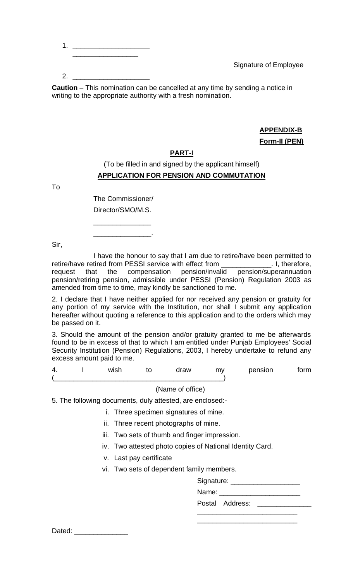1. \_\_\_\_\_\_\_\_\_\_\_\_\_\_\_\_\_\_\_\_ \_\_\_\_\_\_\_\_\_\_\_\_\_\_\_\_\_

Signature of Employee

 $2.$ 

**Caution** – This nomination can be cancelled at any time by sending a notice in writing to the appropriate authority with a fresh nomination.

# **APPENDIX-B Form-II (PEN)**

# **PART-I**

# (To be filled in and signed by the applicant himself) **APPLICATION FOR PENSION AND COMMUTATION**

To

The Commissioner/

Director/SMO/M.S.

\_\_\_\_\_\_\_\_\_\_\_\_\_\_\_ \_\_\_\_\_\_\_\_\_\_\_\_\_\_\_.

Sir,

I have the honour to say that I am due to retire/have been permitted to retire/have retired from PESSI service with effect from \_\_\_\_\_\_\_\_\_\_\_\_\_. I, therefore, request that the compensation pension/invalid pension/superannuation pension/retiring pension, admissible under PESSI (Pension) Regulation 2003 as amended from time to time, may kindly be sanctioned to me.

2. I declare that I have neither applied for nor received any pension or gratuity for any portion of my service with the Institution, nor shall I submit any application hereafter without quoting a reference to this application and to the orders which may be passed on it.

3. Should the amount of the pension and/or gratuity granted to me be afterwards found to be in excess of that to which I am entitled under Punjab Employees' Social Security Institution (Pension) Regulations, 2003, I hereby undertake to refund any excess amount paid to me.

| 4. | wish<br>______ | draw<br>- - - - | m <sub>y</sub> | nensior | ∙nrm |
|----|----------------|-----------------|----------------|---------|------|
|    |                |                 |                |         |      |

(Name of office)

5. The following documents, duly attested, are enclosed:-

- i. Three specimen signatures of mine.
- ii. Three recent photographs of mine.
- iii. Two sets of thumb and finger impression.
- iv. Two attested photo copies of National Identity Card.
- v. Last pay certificate
- vi. Two sets of dependent family members.

|       | Signature:      |  |
|-------|-----------------|--|
| Name: |                 |  |
|       | Postal Address: |  |
|       |                 |  |

\_\_\_\_\_\_\_\_\_\_\_\_\_\_\_\_\_\_\_\_\_\_\_\_\_\_

Dated: \_\_\_\_\_\_\_\_\_\_\_\_\_\_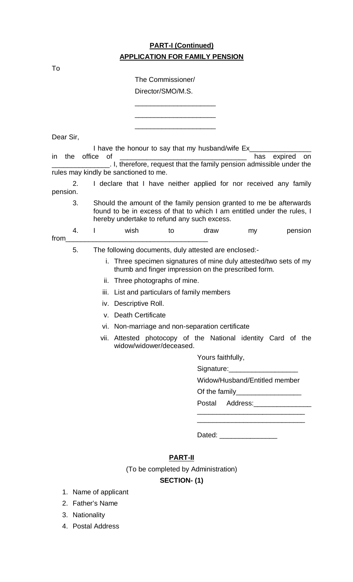# **PART-I (Continued) APPLICATION FOR FAMILY PENSION**

The Commissioner/

|           |     |              |                                                       | Director/SMO/M.S. |                                     |                   |                          |                                                                                                                                                |
|-----------|-----|--------------|-------------------------------------------------------|-------------------|-------------------------------------|-------------------|--------------------------|------------------------------------------------------------------------------------------------------------------------------------------------|
|           |     |              |                                                       |                   |                                     |                   |                          |                                                                                                                                                |
|           |     |              |                                                       |                   |                                     |                   |                          |                                                                                                                                                |
| Dear Sir, |     |              |                                                       |                   |                                     |                   |                          |                                                                                                                                                |
|           |     |              | I have the honour to say that my husband/wife Ex_     |                   |                                     |                   |                          |                                                                                                                                                |
| ın        | the | office<br>0f |                                                       |                   |                                     |                   | has                      | expired<br>on<br>I, therefore, request that the family pension admissible under the                                                            |
|           |     |              | rules may kindly be sanctioned to me.                 |                   |                                     |                   |                          |                                                                                                                                                |
|           | 2.  |              |                                                       |                   |                                     |                   |                          | I declare that I have neither applied for nor received any family                                                                              |
| pension.  |     |              |                                                       |                   |                                     |                   |                          |                                                                                                                                                |
|           | 3.  |              | hereby undertake to refund any such excess.           |                   |                                     |                   |                          | Should the amount of the family pension granted to me be afterwards<br>found to be in excess of that to which I am entitled under the rules, I |
|           | 4.  |              | wish                                                  | to                | draw                                |                   | my                       | pension                                                                                                                                        |
| from      | 5.  |              | The following documents, duly attested are enclosed:- |                   |                                     |                   |                          |                                                                                                                                                |
|           |     | i.           | thumb and finger impression on the prescribed form.   |                   |                                     |                   |                          | Three specimen signatures of mine duly attested/two sets of my                                                                                 |
|           |     |              | ii. Three photographs of mine.                        |                   |                                     |                   |                          |                                                                                                                                                |
|           |     | iii.         | List and particulars of family members                |                   |                                     |                   |                          |                                                                                                                                                |
|           |     |              | iv. Descriptive Roll.                                 |                   |                                     |                   |                          |                                                                                                                                                |
|           |     |              | v. Death Certificate                                  |                   |                                     |                   |                          |                                                                                                                                                |
|           |     |              | vi. Non-marriage and non-separation certificate       |                   |                                     |                   |                          |                                                                                                                                                |
|           |     |              | widow/widower/deceased                                |                   |                                     |                   |                          | vii. Attested photocopy of the National identity Card of the                                                                                   |
|           |     |              |                                                       |                   |                                     | Yours faithfully, |                          |                                                                                                                                                |
|           |     |              |                                                       |                   |                                     |                   |                          |                                                                                                                                                |
|           |     |              |                                                       |                   |                                     |                   |                          | Widow/Husband/Entitled member                                                                                                                  |
|           |     |              |                                                       |                   |                                     |                   |                          | Of the family_____________________                                                                                                             |
|           |     |              |                                                       |                   |                                     |                   |                          | Postal Address: 2008                                                                                                                           |
|           |     |              |                                                       |                   |                                     |                   |                          |                                                                                                                                                |
|           |     |              |                                                       |                   |                                     |                   |                          |                                                                                                                                                |
|           |     |              |                                                       |                   |                                     |                   | Dated: _________________ |                                                                                                                                                |
|           |     |              |                                                       | <b>PART-II</b>    |                                     |                   |                          |                                                                                                                                                |
|           |     |              |                                                       |                   | (To be completed by Administration) |                   |                          |                                                                                                                                                |

# **SECTION- (1)**

- 1. Name of applicant
- 2. Father's Name
- 3. Nationality
- 4. Postal Address

To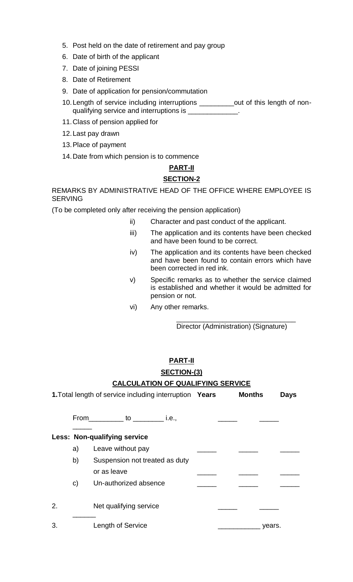- 5. Post held on the date of retirement and pay group
- 6. Date of birth of the applicant
- 7. Date of joining PESSI
- 8. Date of Retirement
- 9. Date of application for pension/commutation
- 10. Length of service including interruptions \_\_\_\_\_\_\_\_out of this length of nonqualifying service and interruptions is \_\_\_\_\_\_\_\_\_\_\_\_\_\_
- 11.Class of pension applied for
- 12.Last pay drawn
- 13.Place of payment
- 14.Date from which pension is to commence

# **PART-II SECTION-2**

REMARKS BY ADMINISTRATIVE HEAD OF THE OFFICE WHERE EMPLOYEE IS SERVING

(To be completed only after receiving the pension application)

- ii) Character and past conduct of the applicant.
- iii) The application and its contents have been checked and have been found to be correct.
- iv) The application and its contents have been checked and have been found to contain errors which have been corrected in red ink.
- v) Specific remarks as to whether the service claimed is established and whether it would be admitted for pension or not.
- vi) Any other remarks.

\_\_\_\_\_\_\_\_\_\_\_\_\_\_\_\_\_\_\_\_\_\_\_\_\_\_\_\_\_\_\_ Director (Administration) (Signature)

# **PART-II**

**SECTION-(3)**

## **CALCULATION OF QUALIFYING SERVICE**

|    |    | <b>1. Total length of service including interruption Years</b> | <b>Months</b> | <b>Days</b> |
|----|----|----------------------------------------------------------------|---------------|-------------|
|    |    | From ___________ to ___________ i.e.,                          |               |             |
|    |    | <b>Less: Non-qualifying service</b>                            |               |             |
|    | a) | Leave without pay                                              |               |             |
|    | b) | Suspension not treated as duty                                 |               |             |
|    |    | or as leave                                                    |               |             |
|    | C) | Un-authorized absence                                          |               |             |
|    |    |                                                                |               |             |
| 2. |    | Net qualifying service                                         |               |             |
|    |    |                                                                |               |             |
| 3. |    | Length of Service                                              | years.        |             |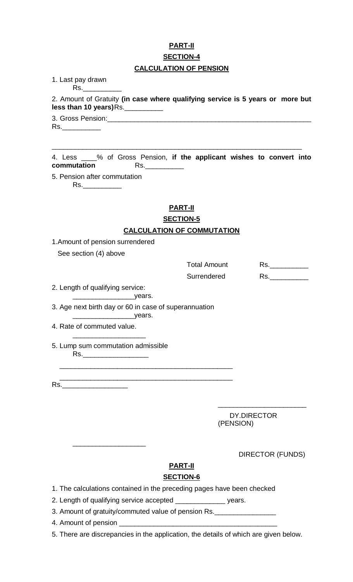# **PART-II SECTION-4 CALCULATION OF PENSION**

1. Last pay drawn Rs.\_\_\_\_\_\_\_\_\_\_

2. Amount of Gratuity **(in case where qualifying service is 5 years or more but less than 10 years)**Rs.\_\_\_\_\_\_\_\_\_\_

3. Gross Pension:

Rs.\_\_\_\_\_\_\_\_\_\_

4. Less \_\_\_\_% of Gross Pension, **if the applicant wishes to convert into commutation** Rs.\_\_\_\_\_\_\_\_\_\_

\_\_\_\_\_\_\_\_\_\_\_\_\_\_\_\_\_\_\_\_\_\_\_\_\_\_\_\_\_\_\_\_\_\_\_\_\_\_\_\_\_\_\_\_\_\_\_\_\_\_\_\_\_\_\_\_\_\_\_\_\_\_\_\_\_

5. Pension after commutation Rs.\_\_\_\_\_\_\_\_\_\_

## **PART-II**

# **SECTION-5 CALCULATION OF COMMUTATION**

1.Amount of pension surrendered

See section (4) above

| <b>Total Amount</b> | Rs. |
|---------------------|-----|
| Surrendered         | Rs. |

2. Length of qualifying service:

\_\_\_\_\_\_\_\_\_\_\_\_\_\_\_\_years. 3. Age next birth day or 60 in case of superannuation

\_\_\_\_\_\_\_\_\_\_\_\_\_\_\_\_\_\_\_\_\_\_\_\_\_\_\_\_\_\_\_\_\_\_\_\_\_\_\_\_\_\_\_\_\_

\_\_\_\_\_\_\_\_\_\_\_\_\_\_\_\_years.

- 4. Rate of commuted value.
- 5. Lump sum commutation admissible Rs.\_\_\_\_\_\_\_\_\_\_\_\_\_\_\_\_\_

\_\_\_\_\_\_\_\_\_\_\_\_\_\_\_\_\_\_\_

\_\_\_\_\_\_\_\_\_\_\_\_\_\_\_\_\_\_\_

 $\overline{\phantom{a}}$  , and the contract of the contract of the contract of the contract of the contract of the contract of the contract of the contract of the contract of the contract of the contract of the contract of the contrac Rs.\_\_\_\_\_\_\_\_\_\_\_\_\_\_\_\_\_

> DY.DIRECTOR (PENSION)

\_\_\_\_\_\_\_\_\_\_\_\_\_\_\_\_\_\_\_\_\_\_\_

DIRECTOR (FUNDS)

# **PART-II**

# **SECTION-6**

1. The calculations contained in the preceding pages have been checked

2. Length of qualifying service accepted \_\_\_\_\_\_\_\_\_\_\_\_\_\_\_\_ years.

3. Amount of gratuity/commuted value of pension Rs.\_\_\_\_\_\_\_\_\_\_\_\_\_\_\_\_

4. Amount of pension \_\_\_\_\_\_\_\_\_\_\_\_\_\_\_\_\_\_\_\_\_\_\_\_\_\_\_\_\_\_\_\_\_\_\_\_\_\_\_\_\_

5. There are discrepancies in the application, the details of which are given below.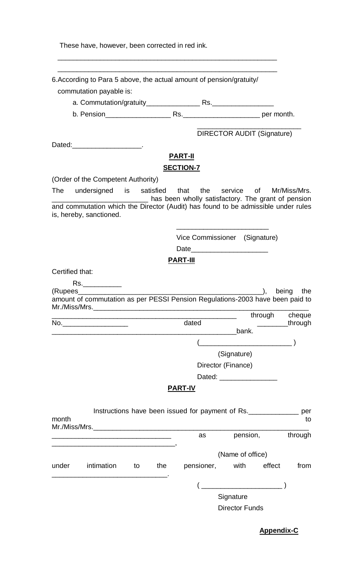These have, however, been corrected in red ink.

|                 | 6. According to Para 5 above, the actual amount of pension/gratuity/<br>commutation payable is: |    |     |                                    |                                                                                                            |              |
|-----------------|-------------------------------------------------------------------------------------------------|----|-----|------------------------------------|------------------------------------------------------------------------------------------------------------|--------------|
|                 |                                                                                                 |    |     |                                    |                                                                                                            |              |
|                 |                                                                                                 |    |     |                                    |                                                                                                            |              |
|                 |                                                                                                 |    |     |                                    | <b>DIRECTOR AUDIT (Signature)</b>                                                                          |              |
|                 | Dated:______________________.                                                                   |    |     |                                    |                                                                                                            |              |
|                 |                                                                                                 |    |     | <b>PART-II</b><br><b>SECTION-7</b> |                                                                                                            |              |
|                 | (Order of the Competent Authority)                                                              |    |     |                                    |                                                                                                            |              |
|                 |                                                                                                 |    |     |                                    | The undersigned is satisfied that the service of<br>has been wholly satisfactory. The grant of pension     | Mr/Miss/Mrs. |
|                 | is, hereby, sanctioned.                                                                         |    |     |                                    | and commutation which the Director (Audit) has found to be admissible under rules                          |              |
|                 |                                                                                                 |    |     |                                    | Vice Commissioner (Signature)                                                                              |              |
|                 |                                                                                                 |    |     |                                    | Date                                                                                                       |              |
|                 |                                                                                                 |    |     | <b>PART-III</b>                    |                                                                                                            |              |
| Certified that: |                                                                                                 |    |     |                                    |                                                                                                            |              |
|                 | Rs.____________                                                                                 |    |     |                                    |                                                                                                            |              |
|                 | (Rupees______________                                                                           |    |     |                                    | $\qquad \qquad \text{).}$<br>amount of commutation as per PESSI Pension Regulations-2003 have been paid to | the<br>being |
|                 |                                                                                                 |    |     |                                    | through                                                                                                    | cheque       |
|                 | No.______________________                                                                       |    |     | dated                              | bank.                                                                                                      | through      |
|                 |                                                                                                 |    |     |                                    |                                                                                                            |              |
|                 |                                                                                                 |    |     |                                    | (Signature)                                                                                                |              |
|                 |                                                                                                 |    |     |                                    | Director (Finance)                                                                                         |              |
|                 |                                                                                                 |    |     |                                    | Dated: __________________                                                                                  |              |
|                 |                                                                                                 |    |     | <u>PART-IV</u>                     |                                                                                                            |              |
| month           |                                                                                                 |    |     |                                    | Instructions have been issued for payment of Rs.                                                           | per<br>to    |
|                 |                                                                                                 |    |     | as                                 | pension,                                                                                                   | through      |
|                 | <u> 1989 - Andrea Stadt Britain, amerikansk politik (* 1908)</u>                                |    |     |                                    | (Name of office)                                                                                           |              |
| under           | intimation                                                                                      | to | the |                                    | pensioner, with<br>effect                                                                                  | from         |
|                 |                                                                                                 |    |     |                                    |                                                                                                            |              |
|                 |                                                                                                 |    |     |                                    | Signature                                                                                                  |              |
|                 |                                                                                                 |    |     |                                    | <b>Director Funds</b>                                                                                      |              |
|                 |                                                                                                 |    |     |                                    |                                                                                                            |              |

**Appendix-C**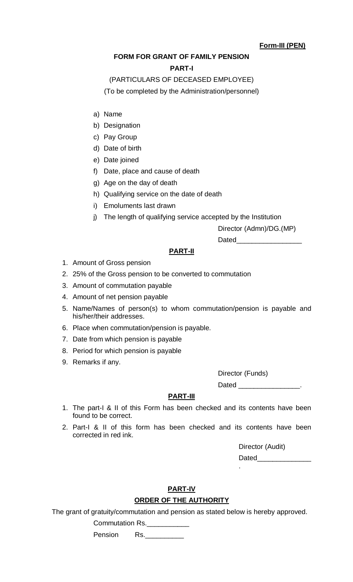## **Form-III (PEN)**

# **FORM FOR GRANT OF FAMILY PENSION**

### **PART-I**

## (PARTICULARS OF DECEASED EMPLOYEE)

(To be completed by the Administration/personnel)

- a) Name
- b) Designation
- c) Pay Group
- d) Date of birth
- e) Date joined
- f) Date, place and cause of death
- g) Age on the day of death
- h) Qualifying service on the date of death
- i) Emoluments last drawn
- j) The length of qualifying service accepted by the Institution

Director (Admn)/DG.(MP)

 $Dated$ <sub>\_\_\_\_\_</sub>

### **PART-II**

- 1. Amount of Gross pension
- 2. 25% of the Gross pension to be converted to commutation
- 3. Amount of commutation payable
- 4. Amount of net pension payable
- 5. Name/Names of person(s) to whom commutation/pension is payable and his/her/their addresses.
- 6. Place when commutation/pension is payable.
- 7. Date from which pension is payable
- 8. Period for which pension is payable
- 9. Remarks if any.

Director (Funds)

Dated \_\_\_\_\_\_\_\_\_\_\_\_\_\_

### **PART-III**

- 1. The part-I & II of this Form has been checked and its contents have been found to be correct.
- 2. Part-I & II of this form has been checked and its contents have been corrected in red ink.

Director (Audit) Dated

.

# **PART-IV**

## **ORDER OF THE AUTHORITY**

The grant of gratuity/commutation and pension as stated below is hereby approved.

Commutation Rs.

Pension Rs.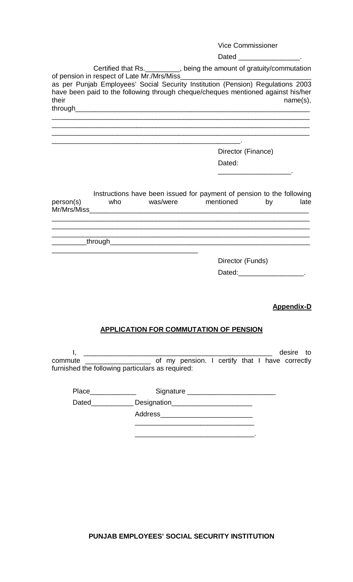#### Vice Commissioner

#### Dated Fig. 2. The contract of the contract of the contract of the contract of the contract of the contract of the contract of the contract of the contract of the contract of the contract of the contract of the contract of

Certified that Rs.\_\_\_\_\_\_\_\_\_, being the amount of gratuity/commutation of pension in respect of Late Mr./Mrs/Miss\_ as per Punjab Employees' Social Security Institution (Pension) Regulations 2003 have been paid to the following through cheque/cheques mentioned against his/her their name(s), through \_\_\_\_\_\_\_\_\_\_\_\_\_\_\_\_\_\_\_\_\_\_\_\_\_\_\_\_\_\_\_\_\_\_\_\_\_\_\_\_\_\_\_\_\_\_\_\_\_\_\_\_\_\_\_\_\_\_\_\_\_\_\_\_\_\_\_

\_\_\_\_\_\_\_\_\_\_\_\_\_\_\_\_\_\_\_\_\_\_\_\_\_\_\_\_\_\_\_\_\_\_\_\_\_\_\_\_\_\_\_\_\_\_\_\_\_\_\_\_\_\_\_\_\_\_\_\_\_\_\_\_\_\_\_ \_\_\_\_\_\_\_\_\_\_\_\_\_\_\_\_\_\_\_\_\_\_\_\_\_\_\_\_\_\_\_\_\_\_\_\_\_\_\_\_\_\_\_\_\_\_\_\_\_\_\_\_\_\_\_\_\_\_\_\_\_\_\_\_\_\_\_

\_\_\_\_\_\_\_\_\_\_\_\_\_\_\_\_\_\_\_\_\_\_\_\_\_\_\_\_\_\_\_\_\_\_\_\_\_\_\_\_\_\_\_\_\_\_\_\_\_.

Director (Finance) Dated:

\_\_\_\_\_\_\_\_\_\_\_\_\_\_\_\_\_\_\_.

Instructions have been issued for payment of pension to the following person(s) who was/were mentioned by late Mr/Mrs/Miss \_\_\_\_\_\_\_\_\_\_\_\_\_\_\_\_\_\_\_\_\_\_\_\_\_\_\_\_\_\_\_\_\_\_\_\_\_\_\_\_\_\_\_\_\_\_\_\_\_\_\_\_\_\_\_\_\_\_\_\_\_\_\_\_\_\_\_

\_\_\_\_\_\_\_\_\_\_\_\_\_\_\_\_\_\_\_\_\_\_\_\_\_\_\_\_\_\_\_\_\_\_\_\_\_\_\_\_\_\_\_\_\_\_\_\_\_\_\_\_\_\_\_\_\_\_\_\_\_\_\_\_\_\_\_ \_\_\_\_\_\_\_\_\_\_\_\_\_\_\_\_\_\_\_\_\_\_\_\_\_\_\_\_\_\_\_\_\_\_\_\_\_\_\_\_\_\_\_\_\_\_\_\_\_\_\_\_\_\_\_\_\_\_\_\_\_\_\_\_\_\_\_

\_\_\_\_\_\_\_\_\_through\_\_\_\_\_\_\_\_\_\_\_\_\_\_\_\_\_\_\_\_\_\_\_\_\_\_\_\_\_\_\_\_\_\_\_\_\_\_\_\_\_\_\_\_\_\_\_\_\_\_\_\_

Director (Funds)

| Dated: |  |
|--------|--|
|        |  |

#### **Appendix-D**

#### **APPLICATION FOR COMMUTATION OF PENSION**

I, \_\_\_\_\_\_\_\_\_\_\_\_\_\_\_\_\_\_\_\_\_\_\_\_\_\_\_\_\_\_\_\_\_\_\_\_\_\_\_\_\_\_\_\_\_\_\_\_\_ desire to commute \_\_\_\_\_\_\_\_\_\_\_\_\_\_\_\_\_ of my pension. I certify that I have correctly furnished the following particulars as required:

> \_\_\_\_\_\_\_\_\_\_\_\_\_\_\_\_\_\_\_\_\_\_\_\_\_\_\_\_\_\_\_ \_\_\_\_\_\_\_\_\_\_\_\_\_\_\_\_\_\_\_\_\_\_\_\_\_\_\_\_\_\_\_.

Place\_\_\_\_\_\_\_\_\_\_\_\_ Signature \_\_\_\_\_\_\_\_\_\_\_\_\_\_\_\_\_\_\_\_\_\_\_

Dated\_\_\_\_\_\_\_\_\_\_\_ Designation\_\_\_\_\_\_\_\_\_\_\_\_\_\_\_\_\_\_\_\_\_

Address\_\_\_\_\_\_\_\_\_\_\_\_\_\_\_\_\_\_\_\_\_\_\_\_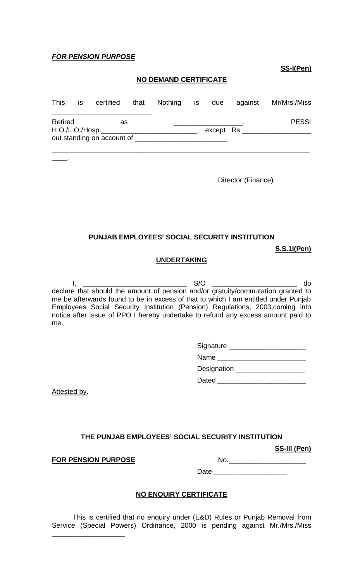### *FOR PENSION PURPOSE*

**SS-I(Pen)**

## **NO DEMAND CERTIFICATE**

| This    | <b>IS</b> |                                                                       | certified that Nothing is due |  | against    | Mr/Mrs./Miss |
|---------|-----------|-----------------------------------------------------------------------|-------------------------------|--|------------|--------------|
| Retired |           | as<br>H.O./L.O./Hosp.__________<br>out standing on account of _______ |                               |  | except Rs. | <b>PESSI</b> |
|         |           |                                                                       |                               |  |            |              |

\_\_\_\_.

Director (Finance)

## **PUNJAB EMPLOYEES' SOCIAL SECURITY INSTITUTION**

**S.S.1I(Pen)**

#### **UNDERTAKING**

I, \_\_\_\_\_\_\_\_\_\_\_\_\_\_\_\_\_\_\_\_\_\_\_\_\_\_\_ S/O \_\_\_\_\_\_\_\_\_\_\_\_\_\_\_\_\_\_\_\_\_\_ do declare that should the amount of pension and/or gratuity/commutation granted to me be afterwards found to be in excess of that to which I am entitled under Punjab Employees Social Security Institution (Pension) Regulations, 2003,coming into notice after issue of PPO I hereby undertake to refund any excess amount paid to me.

| Signature |  |
|-----------|--|
|-----------|--|

Name \_\_\_\_\_\_\_\_\_\_\_\_\_\_\_\_\_\_\_\_\_\_\_ Designation \_\_\_\_\_\_\_\_\_\_\_\_\_\_\_\_\_\_ Dated \_\_\_\_\_\_\_\_\_\_\_\_\_\_\_\_\_\_\_\_\_\_\_

Attested by.

## **THE PUNJAB EMPLOYEES' SOCIAL SECURITY INSTITUTION**

**SS-III (Pen)**

**FOR PENSION PURPOSE** NO.

\_\_\_\_\_\_\_\_\_\_\_\_\_\_\_\_\_\_\_

| INO. |  |  |  |
|------|--|--|--|
|      |  |  |  |
|      |  |  |  |

Date \_\_\_\_\_\_\_\_\_\_\_\_\_\_\_\_\_\_\_

## **NO ENQUIRY CERTIFICATE**

This is certified that no enquiry under (E&D) Rules or Punjab Removal from Service (Special Powers) Ordinance, 2000 is pending against Mr./Mrs./Miss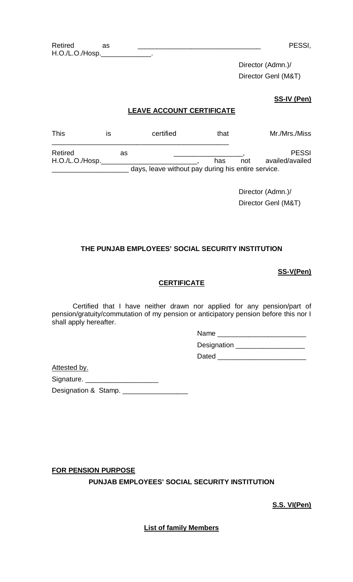Director (Admn.)/ Director Genl (M&T)

### **SS-IV (Pen)**

## **LEAVE ACCOUNT CERTIFICATE**

| <b>This</b>     | ıs | certified                                          |     | that |     | Mr./Mrs./Miss   |
|-----------------|----|----------------------------------------------------|-----|------|-----|-----------------|
| Retired         |    | as                                                 |     |      |     | <b>PESSI</b>    |
| H.O./L.O./Hosp. |    |                                                    | has |      | not | availed/availed |
|                 |    | days, leave without pay during his entire service. |     |      |     |                 |

Director (Admn.)/ Director Genl (M&T)

### **THE PUNJAB EMPLOYEES' SOCIAL SECURITY INSTITUTION**

### **SS-V(Pen)**

### **CERTIFICATE**

Certified that I have neither drawn nor applied for any pension/part of pension/gratuity/commutation of my pension or anticipatory pension before this nor I shall apply hereafter.

Name \_\_\_\_\_\_\_\_\_\_\_\_\_\_\_\_\_\_\_\_\_\_\_

Designation \_\_\_\_\_\_\_\_\_\_\_\_\_\_\_\_\_\_\_\_\_

Dated **Dated** 

Attested by.

Signature. \_\_\_\_\_\_\_\_\_\_\_\_\_\_\_\_\_\_\_

Designation & Stamp. \_\_\_\_\_\_\_\_\_\_\_\_\_\_\_\_\_

**FOR PENSION PURPOSE**

**PUNJAB EMPLOYEES' SOCIAL SECURITY INSTITUTION**

**S.S. VI(Pen)**

**List of family Members**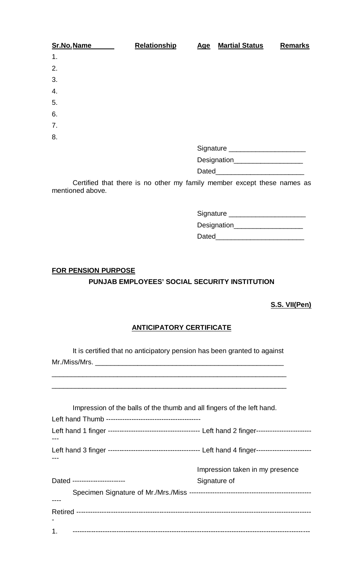| Sr.No.Name | <b>Relationship</b> | <u>Age</u> | <b>Martial Status</b>              | <b>Remarks</b> |
|------------|---------------------|------------|------------------------------------|----------------|
| 1.         |                     |            |                                    |                |
| 2.         |                     |            |                                    |                |
| 3.         |                     |            |                                    |                |
| 4.         |                     |            |                                    |                |
| 5.         |                     |            |                                    |                |
| 6.         |                     |            |                                    |                |
| 7.         |                     |            |                                    |                |
| 8.         |                     |            |                                    |                |
|            |                     |            | Signature ________________________ |                |
|            |                     |            |                                    |                |
|            |                     |            |                                    |                |

Certified that there is no other my family member except these names as mentioned above.

| Signature          |  |
|--------------------|--|
| <b>Designation</b> |  |
| Dated              |  |

# **FOR PENSION PURPOSE PUNJAB EMPLOYEES' SOCIAL SECURITY INSTITUTION**

## **S.S. VII(Pen)**

# **ANTICIPATORY CERTIFICATE**

It is certified that no anticipatory pension has been granted to against  $Mr./Miss/Mrs.$ 

\_\_\_\_\_\_\_\_\_\_\_\_\_\_\_\_\_\_\_\_\_\_\_\_\_\_\_\_\_\_\_\_\_\_\_\_\_\_\_\_\_\_\_\_\_\_\_\_\_\_\_\_\_\_\_\_\_\_\_\_\_ \_\_\_\_\_\_\_\_\_\_\_\_\_\_\_\_\_\_\_\_\_\_\_\_\_\_\_\_\_\_\_\_\_\_\_\_\_\_\_\_\_\_\_\_\_\_\_\_\_\_\_\_\_\_\_\_\_\_\_\_\_

| Impression of the balls of the thumb and all fingers of the left hand. |                                 |
|------------------------------------------------------------------------|---------------------------------|
|                                                                        |                                 |
|                                                                        |                                 |
|                                                                        |                                 |
|                                                                        | Impression taken in my presence |
| Dated -----------------------                                          | Signature of                    |
|                                                                        |                                 |
|                                                                        |                                 |
|                                                                        |                                 |
| 1.                                                                     |                                 |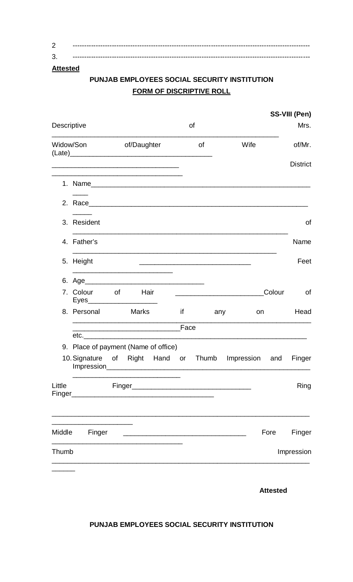| ◠ |  |
|---|--|
| ◠ |  |

# **Attested**

# PUNJAB EMPLOYEES SOCIAL SECURITY INSTITUTION **FORM OF DISCRIPTIVE ROLL**

| Widow/Son of/Daughter<br>Wife<br>of                                                                                                                                                              | of/Mr.<br><b>District</b> |
|--------------------------------------------------------------------------------------------------------------------------------------------------------------------------------------------------|---------------------------|
|                                                                                                                                                                                                  |                           |
|                                                                                                                                                                                                  |                           |
| the control of the control of the control of the control of the control of the control of                                                                                                        |                           |
|                                                                                                                                                                                                  |                           |
| 3. Resident                                                                                                                                                                                      | 0f                        |
| 4. Father's                                                                                                                                                                                      | Name                      |
| <u> 1989 - Johann Stoff, amerikansk politiker (d. 1989)</u><br>5. Height<br><u> 1989 - Johann Stein, mars an deutscher Stein und der Stein und der Stein und der Stein und der Stein und der</u> | Feet                      |
| the control of the control of the control of the control of the control of the control of                                                                                                        |                           |
| Colour<br>7. Colour of<br><b>Hair</b><br>Eyes_______________________                                                                                                                             | 0f                        |
| 8. Personal<br><b>Marks</b><br>$if \t{1}$<br>any<br>on and the set of the set of the set of the set of the set of the set of the set of the set of the set of the                                | Head                      |
|                                                                                                                                                                                                  |                           |
| 9. Place of payment (Name of office)                                                                                                                                                             |                           |
| 10. Signature of Right Hand or Thumb<br>Impression and<br>Impression                                                                                                                             | Finger                    |
| Little<br>Finger<br><u> 1989 - Johann Barbara, martxa alemaniar arg</u><br>Finger_                                                                                                               | Ring                      |
| Fore<br>Middle<br>Finger                                                                                                                                                                         | Finger                    |
| Thumb                                                                                                                                                                                            | Impression                |

**Attested** 

## PUNJAB EMPLOYEES SOCIAL SECURITY INSTITUTION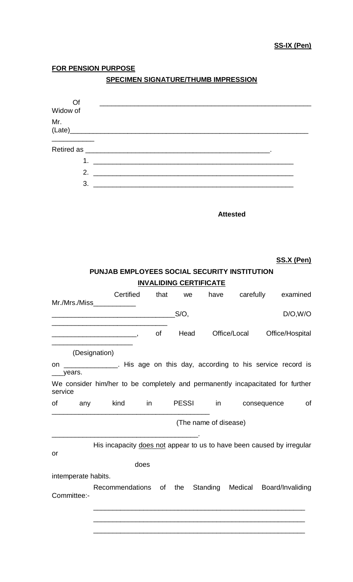## **FOR PENSION PURPOSE**

# **SPECIMEN SIGNATURE/THUMB IMPRESSION**

| Of                                                                                                                                                                                                     |                                                                                                                       |           |                               |      |                       |                        |                                                                       |    |
|--------------------------------------------------------------------------------------------------------------------------------------------------------------------------------------------------------|-----------------------------------------------------------------------------------------------------------------------|-----------|-------------------------------|------|-----------------------|------------------------|-----------------------------------------------------------------------|----|
| Widow of<br>Mr.                                                                                                                                                                                        |                                                                                                                       |           |                               |      |                       |                        |                                                                       |    |
| (Late)                                                                                                                                                                                                 |                                                                                                                       |           |                               |      |                       |                        |                                                                       |    |
|                                                                                                                                                                                                        |                                                                                                                       |           |                               |      |                       |                        |                                                                       |    |
|                                                                                                                                                                                                        |                                                                                                                       |           |                               |      |                       |                        |                                                                       |    |
|                                                                                                                                                                                                        |                                                                                                                       |           |                               |      |                       |                        |                                                                       |    |
|                                                                                                                                                                                                        |                                                                                                                       |           |                               |      |                       |                        |                                                                       |    |
|                                                                                                                                                                                                        |                                                                                                                       |           |                               |      | <b>Attested</b>       |                        |                                                                       |    |
|                                                                                                                                                                                                        | <b>PUNJAB EMPLOYEES SOCIAL SECURITY INSTITUTION</b>                                                                   |           |                               |      |                       |                        | <b>SS.X (Pen)</b>                                                     |    |
|                                                                                                                                                                                                        |                                                                                                                       |           | <b>INVALIDING CERTIFICATE</b> |      |                       |                        |                                                                       |    |
| Mr./Mrs./Miss_____________                                                                                                                                                                             | Certified                                                                                                             |           |                               |      |                       | that we have carefully | examined                                                              |    |
|                                                                                                                                                                                                        | <u> 1980 - Johann John Stone, meil er fan de ferske fan de ferske fan de ferske fan de ferske fan de ferske fan d</u> |           | $S/O$ ,                       |      |                       |                        | D/O, W/O                                                              |    |
| <u> La Carlo Carlo Carlo Carlo Carlo Carlo Carlo Carlo Carlo Carlo Carlo Carlo Carlo Carlo Carlo Carlo Carlo Car</u>                                                                                   | the control of the control of the control of the control of the control of the control of                             | <b>of</b> |                               | Head |                       | Office/Local           | Office/Hospital                                                       |    |
| (Designation)<br>on _______________. His age on this day, according to his service record is<br>___years.<br>We consider him/her to be completely and permanently incapacitated for further<br>service |                                                                                                                       |           |                               |      |                       |                        |                                                                       |    |
| of                                                                                                                                                                                                     | any kind in PESSI in consequence                                                                                      |           |                               |      |                       |                        |                                                                       | 0f |
|                                                                                                                                                                                                        |                                                                                                                       |           |                               |      | (The name of disease) |                        |                                                                       |    |
| or                                                                                                                                                                                                     |                                                                                                                       |           |                               |      |                       |                        | His incapacity does not appear to us to have been caused by irregular |    |
|                                                                                                                                                                                                        |                                                                                                                       | does      |                               |      |                       |                        |                                                                       |    |
| intemperate habits.                                                                                                                                                                                    |                                                                                                                       |           |                               |      |                       |                        |                                                                       |    |
| Committee:-                                                                                                                                                                                            |                                                                                                                       |           |                               |      |                       |                        | Recommendations of the Standing Medical Board/Invaliding              |    |
|                                                                                                                                                                                                        |                                                                                                                       |           |                               |      |                       |                        |                                                                       |    |

\_\_\_\_\_\_\_\_\_\_\_\_\_\_\_\_\_\_\_\_\_\_\_\_\_\_\_\_\_\_\_\_\_\_\_\_\_\_\_\_\_\_\_\_\_\_\_\_\_\_\_\_\_\_\_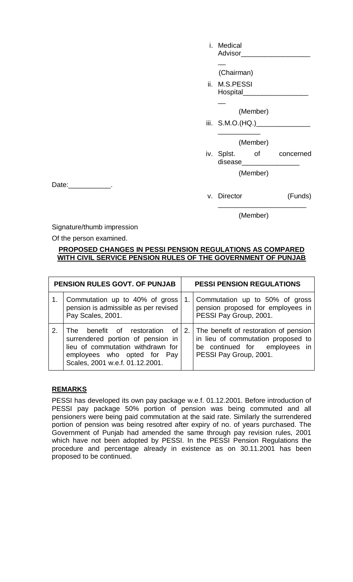| i. Medical<br>Advisor                      |              |
|--------------------------------------------|--------------|
| (Chairman)                                 |              |
| ii. M.S.PESSI<br>Hospital_________________ |              |
| (Member)                                   |              |
| iii. S.M.O.(HQ.)_________________          |              |
| (Member)                                   |              |
| iv. Splst.<br>disease________________      | of concerned |
| (Member)                                   |              |
| v. Director                                | (Funds)      |

Date:\_\_\_\_\_\_\_\_\_\_\_.

### (Member)

\_\_\_\_\_\_\_\_\_\_\_\_\_\_\_\_\_\_\_\_\_\_\_

Signature/thumb impression

Of the person examined.

### **PROPOSED CHANGES IN PESSI PENSION REGULATIONS AS COMPARED WITH CIVIL SERVICE PENSION RULES OF THE GOVERNMENT OF PUNJAB**

|    | PENSION RULES GOVT. OF PUNJAB                                                                                                                                                   | <b>PESSI PENSION REGULATIONS</b> |                                                                                                                                        |  |  |
|----|---------------------------------------------------------------------------------------------------------------------------------------------------------------------------------|----------------------------------|----------------------------------------------------------------------------------------------------------------------------------------|--|--|
|    | Commutation up to 40% of gross<br>pension is admissible as per revised<br>Pay Scales, 2001.                                                                                     | 1.                               | Commutation up to 50% of gross<br>pension proposed for employees in<br>PESSI Pay Group, 2001.                                          |  |  |
| 2. | The benefit of restoration of $2$ .<br>surrendered portion of pension in<br>lieu of commutation withdrawn for<br>employees who opted for Pay<br>Scales, 2001 w.e.f. 01.12.2001. |                                  | The benefit of restoration of pension<br>in lieu of commutation proposed to<br>be continued for employees in<br>PESSI Pay Group, 2001. |  |  |

## **REMARKS**

PESSI has developed its own pay package w.e.f. 01.12.2001. Before introduction of PESSI pay package 50% portion of pension was being commuted and all pensioners were being paid commutation at the said rate. Similarly the surrendered portion of pension was being resotred after expiry of no. of years purchased. The Government of Punjab had amended the same through pay revision rules, 2001 which have not been adopted by PESSI. In the PESSI Pension Regulations the procedure and percentage already in existence as on 30.11.2001 has been proposed to be continued.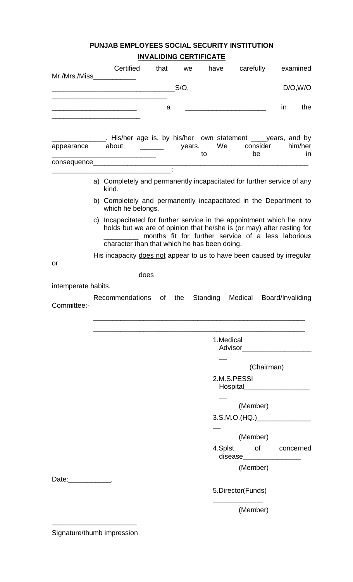## **PUNJAB EMPLOYEES SOCIAL SECURITY INSTITUTION INVALIDING CERTIFICATE**

| $Mr./Mrs./Miss_$    | Certified                                                                                                                                                                                     | that                                                 | we      | have      | carefully                                                                                                                                        | examined         |
|---------------------|-----------------------------------------------------------------------------------------------------------------------------------------------------------------------------------------------|------------------------------------------------------|---------|-----------|--------------------------------------------------------------------------------------------------------------------------------------------------|------------------|
|                     |                                                                                                                                                                                               |                                                      | $S/O$ , |           |                                                                                                                                                  | D/O, W/O         |
|                     | <u> 1989 - Johann John Harry Harry Harry Harry Harry Harry Harry Harry Harry Harry Harry Harry Harry Harry Harry</u>                                                                          | a                                                    |         |           |                                                                                                                                                  | the<br>in        |
| appearance          | Letter Covens and Sylving Covensian Covensian Covensing Covens. 2016 by<br>about                                                                                                              | $\frac{1}{\sqrt{1-\frac{1}{2}}}\qquad \text{years}.$ |         | to        | We consider<br>be                                                                                                                                | him/her<br>in    |
|                     |                                                                                                                                                                                               |                                                      |         |           |                                                                                                                                                  |                  |
|                     | a) Completely and permanently incapacitated for further service of any<br>kind.                                                                                                               |                                                      |         |           |                                                                                                                                                  |                  |
|                     | b) Completely and permanently incapacitated in the Department to<br>which he belongs.                                                                                                         |                                                      |         |           |                                                                                                                                                  |                  |
|                     | c) Incapacitated for further service in the appointment which he now<br>holds but we are of opinion that he/she is (or may) after resting for<br>character than that which he has been doing. |                                                      |         |           | months fit for further service of a less laborious                                                                                               |                  |
|                     | His incapacity does not appear to us to have been caused by irregular                                                                                                                         |                                                      |         |           |                                                                                                                                                  |                  |
| or                  |                                                                                                                                                                                               |                                                      |         |           |                                                                                                                                                  |                  |
| intemperate habits. | does                                                                                                                                                                                          |                                                      |         |           |                                                                                                                                                  |                  |
| Committee:-         | Recommendations of                                                                                                                                                                            |                                                      | the     | Standing  | Medical                                                                                                                                          | Board/Invaliding |
|                     |                                                                                                                                                                                               |                                                      |         |           |                                                                                                                                                  |                  |
|                     |                                                                                                                                                                                               |                                                      |         | 1.Medical |                                                                                                                                                  |                  |
|                     |                                                                                                                                                                                               |                                                      |         |           |                                                                                                                                                  |                  |
|                     |                                                                                                                                                                                               |                                                      |         |           | (Chairman)<br>2.M.S.PESSI<br>Hospital Manuscriptus Manuscriptus Manuscriptus Manuscriptus Manuscriptus Manuscriptus Manuscriptus Manuscriptus Ma |                  |
|                     |                                                                                                                                                                                               |                                                      |         |           |                                                                                                                                                  |                  |
|                     |                                                                                                                                                                                               |                                                      |         |           | (Member)                                                                                                                                         |                  |
|                     |                                                                                                                                                                                               |                                                      |         |           | 3. S.M.O.(HQ.)                                                                                                                                   |                  |
|                     |                                                                                                                                                                                               |                                                      |         |           | (Member)                                                                                                                                         |                  |
|                     |                                                                                                                                                                                               |                                                      |         |           | 4.Splst. of concerned<br>disease__________________                                                                                               |                  |
|                     |                                                                                                                                                                                               |                                                      |         |           | (Member)                                                                                                                                         |                  |
| Date: ____________. |                                                                                                                                                                                               |                                                      |         |           | 5.Director(Funds)                                                                                                                                |                  |

(Member)

\_\_\_\_\_\_\_\_\_\_\_\_\_\_\_\_\_\_\_\_\_\_ Signature/thumb impression